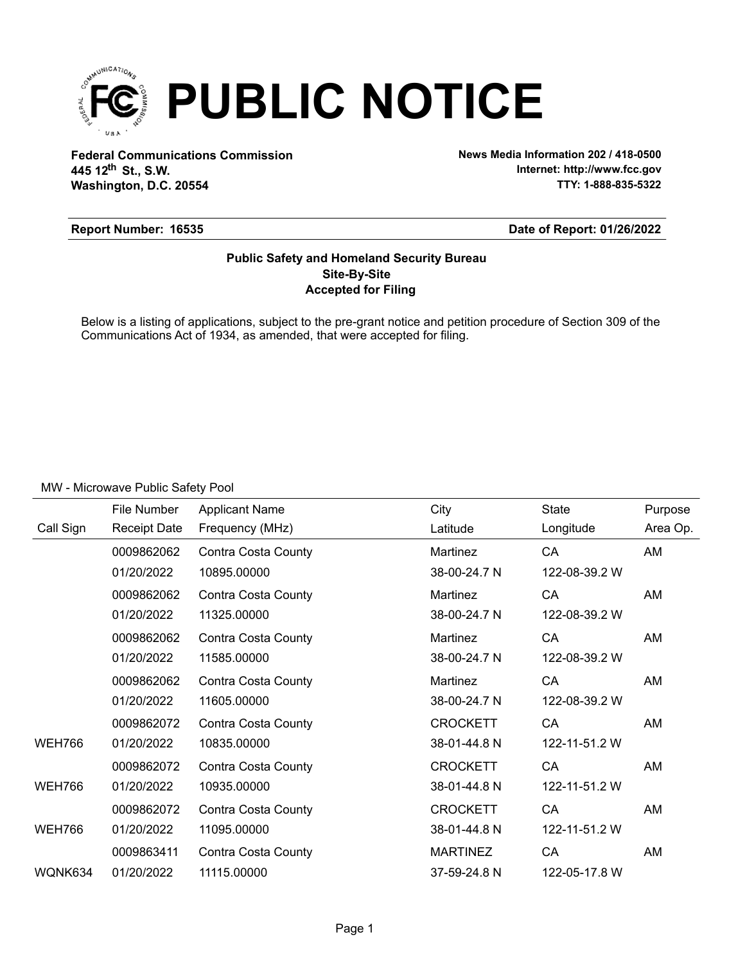

**Federal Communications Commission News Media Information 202 / 418-0500 Washington, D.C. 20554 th 445 12 St., S.W.**

**Internet: http://www.fcc.gov TTY: 1-888-835-5322**

#### **Report Number: 16535**

#### **Date of Report: 01/26/2022**

### **Accepted for Filing Site-By-Site Public Safety and Homeland Security Bureau**

Below is a listing of applications, subject to the pre-grant notice and petition procedure of Section 309 of the Communications Act of 1934, as amended, that were accepted for filing.

|               | File Number         | <b>Applicant Name</b>      | City            | <b>State</b>  | Purpose  |
|---------------|---------------------|----------------------------|-----------------|---------------|----------|
| Call Sign     | <b>Receipt Date</b> | Frequency (MHz)            | Latitude        | Longitude     | Area Op. |
|               | 0009862062          | Contra Costa County        | Martinez        | CA            | AM       |
|               | 01/20/2022          | 10895.00000                | 38-00-24.7 N    | 122-08-39.2 W |          |
|               | 0009862062          | Contra Costa County        | Martinez        | CA            | AM       |
|               | 01/20/2022          | 11325.00000                | 38-00-24.7 N    | 122-08-39.2 W |          |
|               | 0009862062          | Contra Costa County        | Martinez        | CA            | AM       |
|               | 01/20/2022          | 11585.00000                | 38-00-24.7 N    | 122-08-39.2 W |          |
|               | 0009862062          | Contra Costa County        | Martinez        | CA            | AM       |
|               | 01/20/2022          | 11605.00000                | 38-00-24.7 N    | 122-08-39.2 W |          |
|               | 0009862072          | <b>Contra Costa County</b> | <b>CROCKETT</b> | CA            | AM       |
| <b>WEH766</b> | 01/20/2022          | 10835.00000                | 38-01-44.8 N    | 122-11-51.2 W |          |
|               | 0009862072          | Contra Costa County        | <b>CROCKETT</b> | CA            | AM       |
| <b>WEH766</b> | 01/20/2022          | 10935.00000                | 38-01-44.8 N    | 122-11-51.2 W |          |
|               | 0009862072          | Contra Costa County        | <b>CROCKETT</b> | CA            | AM       |
| <b>WEH766</b> | 01/20/2022          | 11095.00000                | 38-01-44.8 N    | 122-11-51.2 W |          |
|               | 0009863411          | Contra Costa County        | <b>MARTINEZ</b> | CA            | AM       |
| WQNK634       | 01/20/2022          | 11115.00000                | 37-59-24.8 N    | 122-05-17.8 W |          |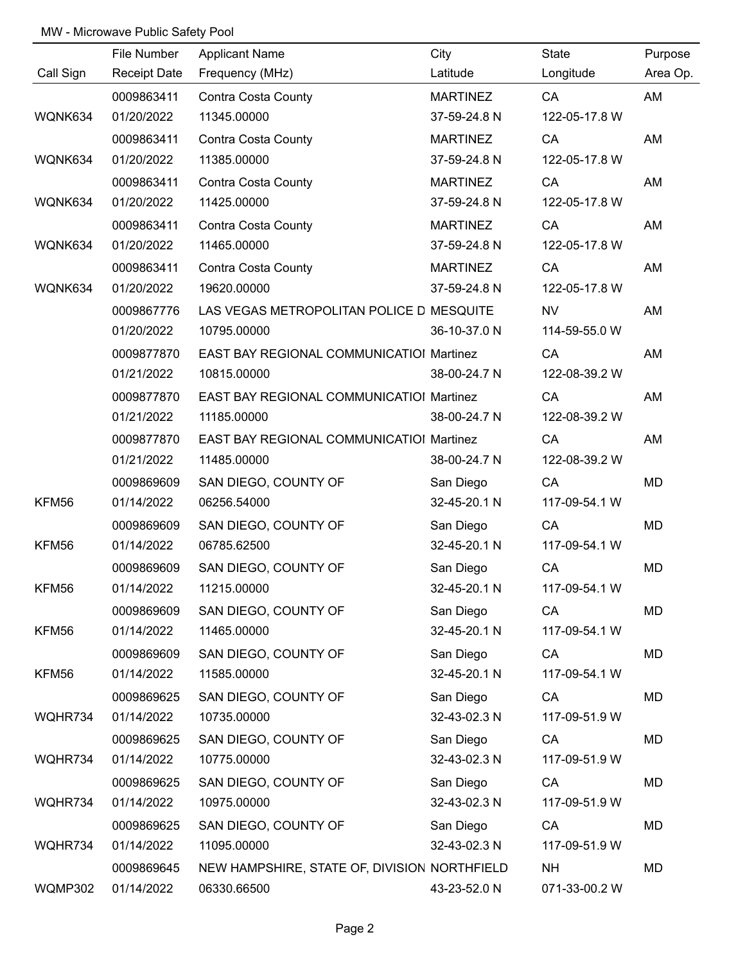|           | File Number         | <b>Applicant Name</b>                        | City            | State         | Purpose  |
|-----------|---------------------|----------------------------------------------|-----------------|---------------|----------|
| Call Sign | <b>Receipt Date</b> | Frequency (MHz)                              | Latitude        | Longitude     | Area Op. |
|           | 0009863411          | <b>Contra Costa County</b>                   | <b>MARTINEZ</b> | CA            | AM       |
| WQNK634   | 01/20/2022          | 11345.00000                                  | 37-59-24.8 N    | 122-05-17.8 W |          |
|           | 0009863411          | Contra Costa County                          | <b>MARTINEZ</b> | CA            | AM       |
| WQNK634   | 01/20/2022          | 11385.00000                                  | 37-59-24.8 N    | 122-05-17.8 W |          |
|           | 0009863411          | Contra Costa County                          | <b>MARTINEZ</b> | CA            | AM       |
| WQNK634   | 01/20/2022          | 11425.00000                                  | 37-59-24.8 N    | 122-05-17.8 W |          |
|           | 0009863411          | Contra Costa County                          | <b>MARTINEZ</b> | CA            | AM       |
| WQNK634   | 01/20/2022          | 11465.00000                                  | 37-59-24.8 N    | 122-05-17.8 W |          |
|           | 0009863411          | Contra Costa County                          | <b>MARTINEZ</b> | CA            | AM       |
| WQNK634   | 01/20/2022          | 19620.00000                                  | 37-59-24.8 N    | 122-05-17.8 W |          |
|           | 0009867776          | LAS VEGAS METROPOLITAN POLICE D MESQUITE     |                 | <b>NV</b>     | AM       |
|           | 01/20/2022          | 10795.00000                                  | 36-10-37.0 N    | 114-59-55.0 W |          |
|           | 0009877870          | EAST BAY REGIONAL COMMUNICATIOI Martinez     |                 | CA            | AM       |
|           | 01/21/2022          | 10815.00000                                  | 38-00-24.7 N    | 122-08-39.2 W |          |
|           | 0009877870          | EAST BAY REGIONAL COMMUNICATIOI Martinez     |                 | CA            | AM       |
|           | 01/21/2022          | 11185.00000                                  | 38-00-24.7 N    | 122-08-39.2 W |          |
|           | 0009877870          | EAST BAY REGIONAL COMMUNICATIOI Martinez     |                 | CA            | AM       |
|           | 01/21/2022          | 11485.00000                                  | 38-00-24.7 N    | 122-08-39.2 W |          |
|           | 0009869609          | SAN DIEGO, COUNTY OF                         | San Diego       | CA            | MD       |
| KFM56     | 01/14/2022          | 06256.54000                                  | 32-45-20.1 N    | 117-09-54.1 W |          |
|           | 0009869609          | SAN DIEGO, COUNTY OF                         | San Diego       | CA            | MD       |
| KFM56     | 01/14/2022          | 06785.62500                                  | 32-45-20.1 N    | 117-09-54.1 W |          |
|           | 0009869609          | SAN DIEGO, COUNTY OF                         | San Diego       | CA            | MD       |
| KFM56     | 01/14/2022          | 11215.00000                                  | 32-45-20.1 N    | 117-09-54.1 W |          |
|           | 0009869609          | SAN DIEGO, COUNTY OF                         | San Diego       | CA            | MD       |
| KFM56     | 01/14/2022          | 11465.00000                                  | 32-45-20.1 N    | 117-09-54.1 W |          |
|           | 0009869609          | SAN DIEGO, COUNTY OF                         | San Diego       | CA            | MD       |
| KFM56     | 01/14/2022          | 11585.00000                                  | 32-45-20.1 N    | 117-09-54.1 W |          |
|           | 0009869625          | SAN DIEGO, COUNTY OF                         | San Diego       | CA            | MD       |
| WQHR734   | 01/14/2022          | 10735.00000                                  | 32-43-02.3 N    | 117-09-51.9 W |          |
|           | 0009869625          | SAN DIEGO, COUNTY OF                         | San Diego       | CA            | MD       |
| WQHR734   | 01/14/2022          | 10775.00000                                  | 32-43-02.3 N    | 117-09-51.9 W |          |
|           | 0009869625          | SAN DIEGO, COUNTY OF                         | San Diego       | CA            | MD       |
| WQHR734   | 01/14/2022          | 10975.00000                                  | 32-43-02.3 N    | 117-09-51.9 W |          |
|           | 0009869625          | SAN DIEGO, COUNTY OF                         | San Diego       | CA            | MD       |
| WQHR734   | 01/14/2022          | 11095.00000                                  | 32-43-02.3 N    | 117-09-51.9 W |          |
|           | 0009869645          | NEW HAMPSHIRE, STATE OF, DIVISION NORTHFIELD |                 | <b>NH</b>     | MD       |
| WQMP302   | 01/14/2022          | 06330.66500                                  | 43-23-52.0 N    | 071-33-00.2 W |          |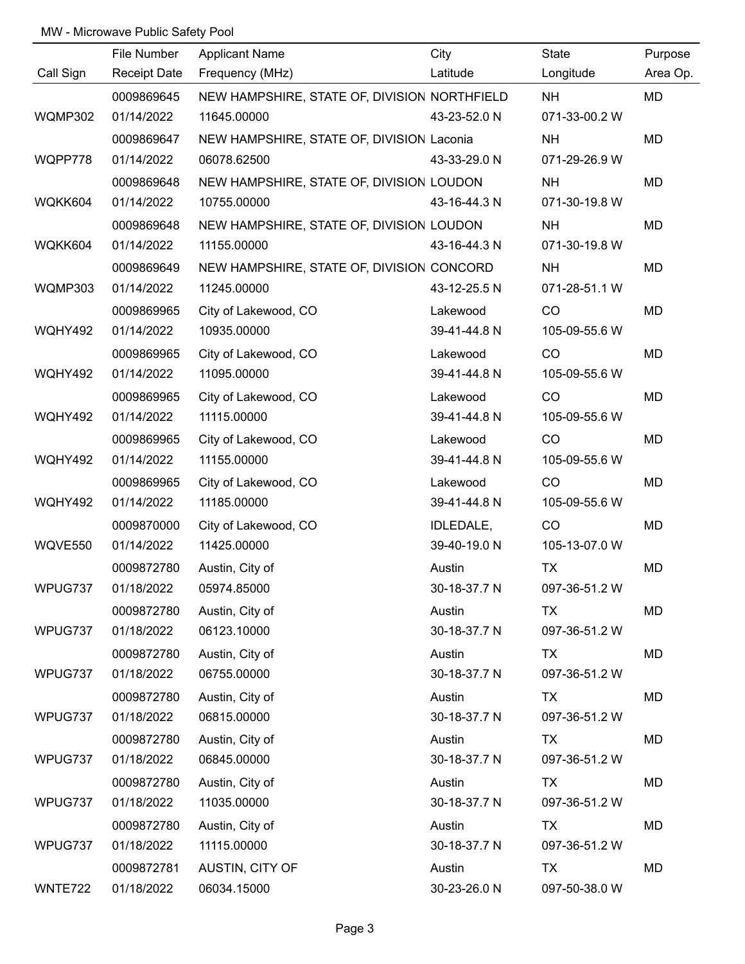|           | File Number         | <b>Applicant Name</b>                        | City         | State         | Purpose   |
|-----------|---------------------|----------------------------------------------|--------------|---------------|-----------|
| Call Sign | <b>Receipt Date</b> | Frequency (MHz)                              | Latitude     | Longitude     | Area Op.  |
|           | 0009869645          | NEW HAMPSHIRE, STATE OF, DIVISION NORTHFIELD |              | <b>NH</b>     | <b>MD</b> |
| WQMP302   | 01/14/2022          | 11645.00000                                  | 43-23-52.0 N | 071-33-00.2 W |           |
|           | 0009869647          | NEW HAMPSHIRE, STATE OF, DIVISION Laconia    |              | <b>NH</b>     | MD        |
| WQPP778   | 01/14/2022          | 06078.62500                                  | 43-33-29.0 N | 071-29-26.9 W |           |
|           | 0009869648          | NEW HAMPSHIRE, STATE OF, DIVISION LOUDON     |              | <b>NH</b>     | MD        |
| WQKK604   | 01/14/2022          | 10755.00000                                  | 43-16-44.3 N | 071-30-19.8 W |           |
|           | 0009869648          | NEW HAMPSHIRE, STATE OF, DIVISION LOUDON     |              | <b>NH</b>     | MD        |
| WQKK604   | 01/14/2022          | 11155.00000                                  | 43-16-44.3 N | 071-30-19.8 W |           |
|           | 0009869649          | NEW HAMPSHIRE, STATE OF, DIVISION CONCORD    |              | <b>NH</b>     | MD        |
| WQMP303   | 01/14/2022          | 11245.00000                                  | 43-12-25.5 N | 071-28-51.1 W |           |
|           | 0009869965          | City of Lakewood, CO                         | Lakewood     | CO            | MD        |
| WQHY492   | 01/14/2022          | 10935.00000                                  | 39-41-44.8 N | 105-09-55.6 W |           |
|           | 0009869965          | City of Lakewood, CO                         | Lakewood     | CO            | MD        |
| WQHY492   | 01/14/2022          | 11095.00000                                  | 39-41-44.8 N | 105-09-55.6 W |           |
|           | 0009869965          | City of Lakewood, CO                         | Lakewood     | CO            | MD        |
| WQHY492   | 01/14/2022          | 11115.00000                                  | 39-41-44.8 N | 105-09-55.6 W |           |
|           | 0009869965          | City of Lakewood, CO                         | Lakewood     | CO            | MD        |
| WQHY492   | 01/14/2022          | 11155.00000                                  | 39-41-44.8 N | 105-09-55.6 W |           |
|           | 0009869965          | City of Lakewood, CO                         | Lakewood     | CO            | MD        |
| WQHY492   | 01/14/2022          | 11185.00000                                  | 39-41-44.8 N | 105-09-55.6 W |           |
|           | 0009870000          | City of Lakewood, CO                         | IDLEDALE,    | CO            | MD        |
| WQVE550   | 01/14/2022          | 11425.00000                                  | 39-40-19.0 N | 105-13-07.0 W |           |
|           | 0009872780          | Austin, City of                              | Austin       | <b>TX</b>     | MD        |
| WPUG737   | 01/18/2022          | 05974.85000                                  | 30-18-37.7 N | 097-36-51.2 W |           |
|           | 0009872780          | Austin, City of                              | Austin       | <b>TX</b>     | MD        |
| WPUG737   | 01/18/2022          | 06123.10000                                  | 30-18-37.7 N | 097-36-51.2 W |           |
|           | 0009872780          | Austin, City of                              | Austin       | <b>TX</b>     | MD        |
| WPUG737   | 01/18/2022          | 06755.00000                                  | 30-18-37.7 N | 097-36-51.2 W |           |
|           | 0009872780          | Austin, City of                              | Austin       | <b>TX</b>     | MD        |
| WPUG737   | 01/18/2022          | 06815.00000                                  | 30-18-37.7 N | 097-36-51.2 W |           |
|           | 0009872780          | Austin, City of                              | Austin       | TX            | MD        |
| WPUG737   | 01/18/2022          | 06845.00000                                  | 30-18-37.7 N | 097-36-51.2 W |           |
|           | 0009872780          | Austin, City of                              | Austin       | TX            | MD        |
| WPUG737   | 01/18/2022          | 11035.00000                                  | 30-18-37.7 N | 097-36-51.2 W |           |
|           | 0009872780          | Austin, City of                              | Austin       | TX            | MD        |
| WPUG737   | 01/18/2022          | 11115.00000                                  | 30-18-37.7 N | 097-36-51.2 W |           |
|           | 0009872781          | AUSTIN, CITY OF                              | Austin       | <b>TX</b>     | MD        |
| WNTE722   | 01/18/2022          | 06034.15000                                  | 30-23-26.0 N | 097-50-38.0 W |           |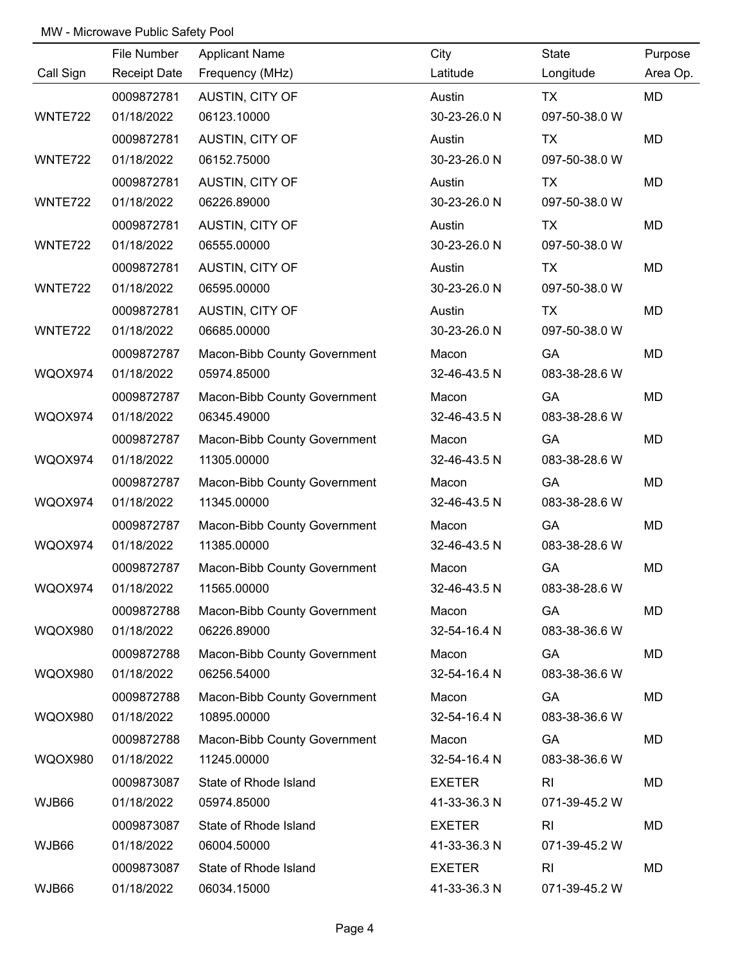|                | File Number         | <b>Applicant Name</b>        | City          | State          | Purpose   |
|----------------|---------------------|------------------------------|---------------|----------------|-----------|
| Call Sign      | <b>Receipt Date</b> | Frequency (MHz)              | Latitude      | Longitude      | Area Op.  |
|                | 0009872781          | AUSTIN, CITY OF              | Austin        | <b>TX</b>      | <b>MD</b> |
| WNTE722        | 01/18/2022          | 06123.10000                  | 30-23-26.0 N  | 097-50-38.0 W  |           |
|                | 0009872781          | AUSTIN, CITY OF              | Austin        | <b>TX</b>      | <b>MD</b> |
| WNTE722        | 01/18/2022          | 06152.75000                  | 30-23-26.0 N  | 097-50-38.0 W  |           |
|                | 0009872781          | AUSTIN, CITY OF              | Austin        | TX             | MD        |
| WNTE722        | 01/18/2022          | 06226.89000                  | 30-23-26.0 N  | 097-50-38.0 W  |           |
|                | 0009872781          | AUSTIN, CITY OF              | Austin        | <b>TX</b>      | MD        |
| WNTE722        | 01/18/2022          | 06555.00000                  | 30-23-26.0 N  | 097-50-38.0 W  |           |
|                | 0009872781          | AUSTIN, CITY OF              | Austin        | TX             | MD        |
| WNTE722        | 01/18/2022          | 06595.00000                  | 30-23-26.0 N  | 097-50-38.0 W  |           |
|                | 0009872781          | AUSTIN, CITY OF              | Austin        | TX             | MD        |
| WNTE722        | 01/18/2022          | 06685.00000                  | 30-23-26.0 N  | 097-50-38.0 W  |           |
|                | 0009872787          | Macon-Bibb County Government | Macon         | GA             | MD        |
| WQOX974        | 01/18/2022          | 05974.85000                  | 32-46-43.5 N  | 083-38-28.6 W  |           |
|                | 0009872787          | Macon-Bibb County Government | Macon         | GA             | MD        |
| WQOX974        | 01/18/2022          | 06345.49000                  | 32-46-43.5 N  | 083-38-28.6 W  |           |
|                | 0009872787          | Macon-Bibb County Government | Macon         | GA             | MD        |
| WQOX974        | 01/18/2022          | 11305.00000                  | 32-46-43.5 N  | 083-38-28.6 W  |           |
|                | 0009872787          | Macon-Bibb County Government | Macon         | GA             | MD        |
| WQOX974        | 01/18/2022          | 11345.00000                  | 32-46-43.5 N  | 083-38-28.6 W  |           |
|                | 0009872787          | Macon-Bibb County Government | Macon         | GA             | MD        |
| WQOX974        | 01/18/2022          | 11385.00000                  | 32-46-43.5 N  | 083-38-28.6 W  |           |
|                | 0009872787          | Macon-Bibb County Government | Macon         | GA             | MD        |
| <b>WQOX974</b> | 01/18/2022          | 11565.00000                  | 32-46-43.5 N  | 083-38-28.6 W  |           |
|                | 0009872788          | Macon-Bibb County Government | Macon         | GA             | MD        |
| <b>WQOX980</b> | 01/18/2022          | 06226.89000                  | 32-54-16.4 N  | 083-38-36.6 W  |           |
|                | 0009872788          | Macon-Bibb County Government | Macon         | GA             | MD        |
| <b>WQOX980</b> | 01/18/2022          | 06256.54000                  | 32-54-16.4 N  | 083-38-36.6 W  |           |
|                | 0009872788          | Macon-Bibb County Government | Macon         | GA             | MD        |
| <b>WQOX980</b> | 01/18/2022          | 10895.00000                  | 32-54-16.4 N  | 083-38-36.6 W  |           |
|                | 0009872788          | Macon-Bibb County Government | Macon         | GA             | MD        |
| <b>WQOX980</b> | 01/18/2022          | 11245.00000                  | 32-54-16.4 N  | 083-38-36.6 W  |           |
|                | 0009873087          | State of Rhode Island        | <b>EXETER</b> | R <sub>l</sub> | MD        |
| WJB66          | 01/18/2022          | 05974.85000                  | 41-33-36.3 N  | 071-39-45.2 W  |           |
|                | 0009873087          | State of Rhode Island        | <b>EXETER</b> | R <sub>l</sub> | <b>MD</b> |
| WJB66          | 01/18/2022          | 06004.50000                  | 41-33-36.3 N  | 071-39-45.2 W  |           |
|                | 0009873087          | State of Rhode Island        | <b>EXETER</b> | R <sub>l</sub> | MD        |
| WJB66          | 01/18/2022          | 06034.15000                  | 41-33-36.3 N  | 071-39-45.2 W  |           |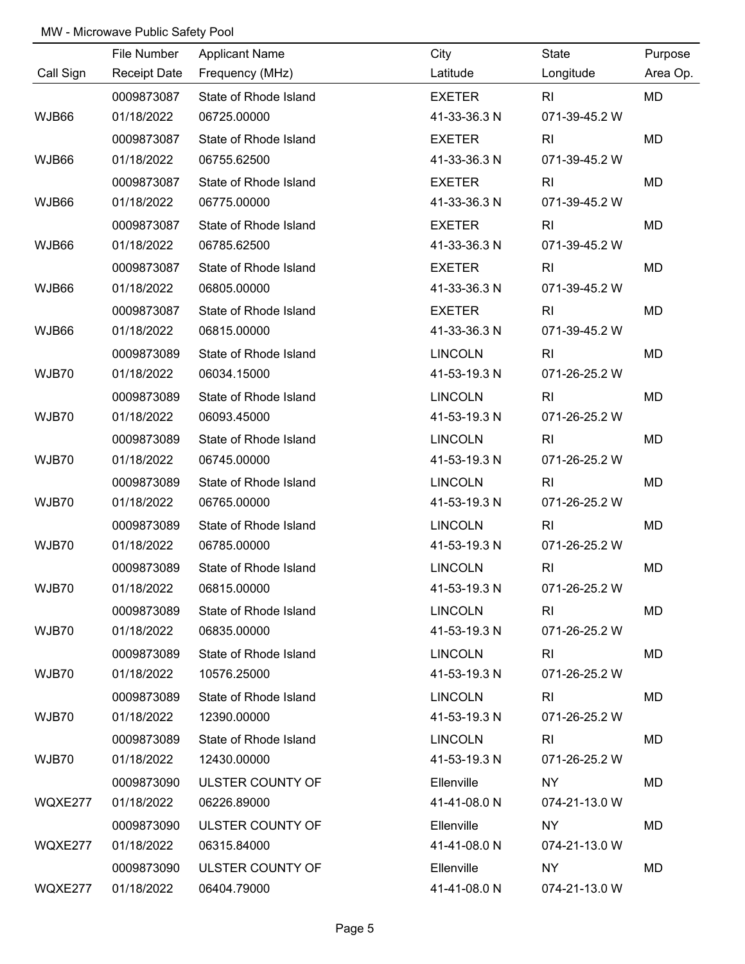|           | File Number         | <b>Applicant Name</b> | City           | State          | Purpose   |
|-----------|---------------------|-----------------------|----------------|----------------|-----------|
| Call Sign | <b>Receipt Date</b> | Frequency (MHz)       | Latitude       | Longitude      | Area Op.  |
|           | 0009873087          | State of Rhode Island | <b>EXETER</b>  | RI             | <b>MD</b> |
| WJB66     | 01/18/2022          | 06725.00000           | 41-33-36.3 N   | 071-39-45.2 W  |           |
|           | 0009873087          | State of Rhode Island | <b>EXETER</b>  | R <sub>l</sub> | MD        |
| WJB66     | 01/18/2022          | 06755.62500           | 41-33-36.3 N   | 071-39-45.2 W  |           |
|           | 0009873087          | State of Rhode Island | <b>EXETER</b>  | R <sub>l</sub> | MD        |
| WJB66     | 01/18/2022          | 06775.00000           | 41-33-36.3 N   | 071-39-45.2 W  |           |
|           | 0009873087          | State of Rhode Island | <b>EXETER</b>  | R <sub>l</sub> | MD        |
| WJB66     | 01/18/2022          | 06785.62500           | 41-33-36.3 N   | 071-39-45.2 W  |           |
|           | 0009873087          | State of Rhode Island | <b>EXETER</b>  | R <sub>l</sub> | MD        |
| WJB66     | 01/18/2022          | 06805.00000           | 41-33-36.3 N   | 071-39-45.2 W  |           |
|           | 0009873087          | State of Rhode Island | <b>EXETER</b>  | R <sub>l</sub> | MD        |
| WJB66     | 01/18/2022          | 06815.00000           | 41-33-36.3 N   | 071-39-45.2 W  |           |
|           | 0009873089          | State of Rhode Island | <b>LINCOLN</b> | R <sub>l</sub> | MD        |
| WJB70     | 01/18/2022          | 06034.15000           | 41-53-19.3 N   | 071-26-25.2 W  |           |
|           | 0009873089          | State of Rhode Island | <b>LINCOLN</b> | R <sub>l</sub> | MD        |
| WJB70     | 01/18/2022          | 06093.45000           | 41-53-19.3 N   | 071-26-25.2 W  |           |
|           | 0009873089          | State of Rhode Island | <b>LINCOLN</b> | R <sub>l</sub> | MD        |
| WJB70     | 01/18/2022          | 06745.00000           | 41-53-19.3 N   | 071-26-25.2 W  |           |
|           | 0009873089          | State of Rhode Island | <b>LINCOLN</b> | RI             | MD        |
| WJB70     | 01/18/2022          | 06765.00000           | 41-53-19.3 N   | 071-26-25.2 W  |           |
|           | 0009873089          | State of Rhode Island | <b>LINCOLN</b> | R <sub>l</sub> | MD        |
| WJB70     | 01/18/2022          | 06785.00000           | 41-53-19.3 N   | 071-26-25.2 W  |           |
|           | 0009873089          | State of Rhode Island | <b>LINCOLN</b> | R <sub>l</sub> | <b>MD</b> |
| WJB70     | 01/18/2022          | 06815.00000           | 41-53-19.3 N   | 071-26-25.2 W  |           |
|           | 0009873089          | State of Rhode Island | <b>LINCOLN</b> | R <sub>l</sub> | MD        |
| WJB70     | 01/18/2022          | 06835.00000           | 41-53-19.3 N   | 071-26-25.2 W  |           |
|           | 0009873089          | State of Rhode Island | <b>LINCOLN</b> | <b>RI</b>      | MD        |
| WJB70     | 01/18/2022          | 10576.25000           | 41-53-19.3 N   | 071-26-25.2 W  |           |
|           | 0009873089          | State of Rhode Island | <b>LINCOLN</b> | RI             | MD        |
| WJB70     | 01/18/2022          | 12390.00000           | 41-53-19.3 N   | 071-26-25.2 W  |           |
|           | 0009873089          | State of Rhode Island | <b>LINCOLN</b> | R <sub>l</sub> | MD.       |
| WJB70     | 01/18/2022          | 12430.00000           | 41-53-19.3 N   | 071-26-25.2 W  |           |
|           | 0009873090          | ULSTER COUNTY OF      | Ellenville     | NY             | MD        |
| WQXE277   | 01/18/2022          | 06226.89000           | 41-41-08.0 N   | 074-21-13.0 W  |           |
|           | 0009873090          | ULSTER COUNTY OF      | Ellenville     | <b>NY</b>      | <b>MD</b> |
| WQXE277   | 01/18/2022          | 06315.84000           | 41-41-08.0 N   | 074-21-13.0 W  |           |
|           | 0009873090          | ULSTER COUNTY OF      | Ellenville     | <b>NY</b>      | MD        |
| WQXE277   | 01/18/2022          | 06404.79000           | 41-41-08.0 N   | 074-21-13.0 W  |           |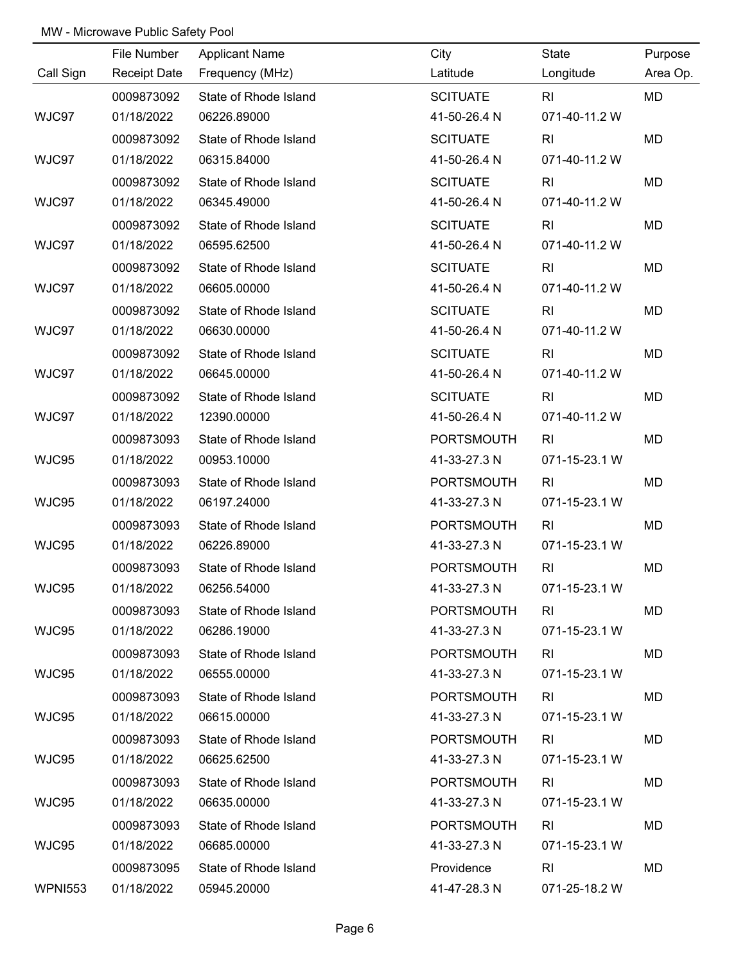|                | File Number         | <b>Applicant Name</b> | City              | State          | Purpose   |
|----------------|---------------------|-----------------------|-------------------|----------------|-----------|
| Call Sign      | <b>Receipt Date</b> | Frequency (MHz)       | Latitude          | Longitude      | Area Op.  |
|                | 0009873092          | State of Rhode Island | <b>SCITUATE</b>   | R <sub>l</sub> | <b>MD</b> |
| WJC97          | 01/18/2022          | 06226.89000           | 41-50-26.4 N      | 071-40-11.2 W  |           |
|                | 0009873092          | State of Rhode Island | <b>SCITUATE</b>   | R <sub>l</sub> | MD        |
| WJC97          | 01/18/2022          | 06315.84000           | 41-50-26.4 N      | 071-40-11.2 W  |           |
|                | 0009873092          | State of Rhode Island | <b>SCITUATE</b>   | R <sub>l</sub> | MD        |
| WJC97          | 01/18/2022          | 06345.49000           | 41-50-26.4 N      | 071-40-11.2 W  |           |
|                | 0009873092          | State of Rhode Island | <b>SCITUATE</b>   | R <sub>l</sub> | MD        |
| WJC97          | 01/18/2022          | 06595.62500           | 41-50-26.4 N      | 071-40-11.2 W  |           |
|                | 0009873092          | State of Rhode Island | <b>SCITUATE</b>   | R <sub>l</sub> | MD        |
| WJC97          | 01/18/2022          | 06605.00000           | 41-50-26.4 N      | 071-40-11.2 W  |           |
|                | 0009873092          | State of Rhode Island | <b>SCITUATE</b>   | R <sub>l</sub> | MD        |
| WJC97          | 01/18/2022          | 06630.00000           | 41-50-26.4 N      | 071-40-11.2 W  |           |
|                | 0009873092          | State of Rhode Island | <b>SCITUATE</b>   | R <sub>l</sub> | MD        |
| WJC97          | 01/18/2022          | 06645.00000           | 41-50-26.4 N      | 071-40-11.2 W  |           |
|                | 0009873092          | State of Rhode Island | <b>SCITUATE</b>   | R <sub>l</sub> | MD        |
| WJC97          | 01/18/2022          | 12390.00000           | 41-50-26.4 N      | 071-40-11.2 W  |           |
|                | 0009873093          | State of Rhode Island | PORTSMOUTH        | RI             | MD        |
| WJC95          | 01/18/2022          | 00953.10000           | 41-33-27.3 N      | 071-15-23.1 W  |           |
|                | 0009873093          | State of Rhode Island | <b>PORTSMOUTH</b> | R <sub>l</sub> | MD        |
| WJC95          | 01/18/2022          | 06197.24000           | 41-33-27.3 N      | 071-15-23.1 W  |           |
|                | 0009873093          | State of Rhode Island | <b>PORTSMOUTH</b> | RI             | MD        |
| WJC95          | 01/18/2022          | 06226.89000           | 41-33-27.3 N      | 071-15-23.1 W  |           |
|                | 0009873093          | State of Rhode Island | <b>PORTSMOUTH</b> | R <sub>l</sub> | MD        |
| WJC95          | 01/18/2022          | 06256.54000           | 41-33-27.3 N      | 071-15-23.1 W  |           |
|                | 0009873093          | State of Rhode Island | <b>PORTSMOUTH</b> | R <sub>l</sub> | MD        |
| WJC95          | 01/18/2022          | 06286.19000           | 41-33-27.3 N      | 071-15-23.1 W  |           |
|                | 0009873093          | State of Rhode Island | <b>PORTSMOUTH</b> | RI             | MD        |
| WJC95          | 01/18/2022          | 06555.00000           | 41-33-27.3 N      | 071-15-23.1 W  |           |
|                | 0009873093          | State of Rhode Island | <b>PORTSMOUTH</b> | RI             | MD        |
| WJC95          | 01/18/2022          | 06615.00000           | 41-33-27.3 N      | 071-15-23.1 W  |           |
|                | 0009873093          | State of Rhode Island | <b>PORTSMOUTH</b> | <b>RI</b>      | MD        |
| WJC95          | 01/18/2022          | 06625.62500           | 41-33-27.3 N      | 071-15-23.1 W  |           |
|                | 0009873093          | State of Rhode Island | <b>PORTSMOUTH</b> | RI             | MD        |
| WJC95          | 01/18/2022          | 06635.00000           | 41-33-27.3 N      | 071-15-23.1 W  |           |
|                | 0009873093          | State of Rhode Island | <b>PORTSMOUTH</b> | R <sub>l</sub> | MD        |
| WJC95          | 01/18/2022          | 06685.00000           | 41-33-27.3 N      | 071-15-23.1 W  |           |
|                | 0009873095          | State of Rhode Island | Providence        | R <sub>l</sub> | MD        |
| <b>WPNI553</b> | 01/18/2022          | 05945.20000           | 41-47-28.3 N      | 071-25-18.2 W  |           |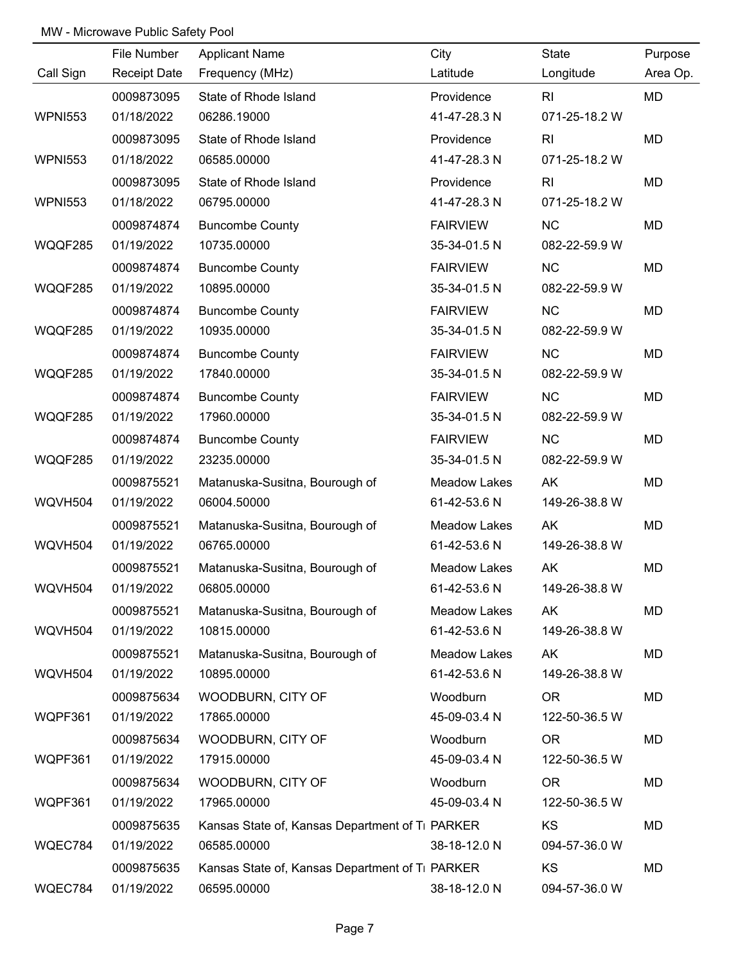|                | File Number         | <b>Applicant Name</b>                                       | City                | State          | Purpose  |
|----------------|---------------------|-------------------------------------------------------------|---------------------|----------------|----------|
| Call Sign      | <b>Receipt Date</b> | Frequency (MHz)                                             | Latitude            | Longitude      | Area Op. |
|                | 0009873095          | State of Rhode Island                                       | Providence          | R <sub>l</sub> | MD       |
| <b>WPNI553</b> | 01/18/2022          | 06286.19000                                                 | 41-47-28.3 N        | 071-25-18.2 W  |          |
|                | 0009873095          | State of Rhode Island                                       | Providence          | R <sub>l</sub> | MD       |
| <b>WPNI553</b> | 01/18/2022          | 06585.00000                                                 | 41-47-28.3 N        | 071-25-18.2 W  |          |
|                | 0009873095          | State of Rhode Island                                       | Providence          | RI             | MD       |
| <b>WPNI553</b> | 01/18/2022          | 06795.00000                                                 | 41-47-28.3 N        | 071-25-18.2 W  |          |
|                | 0009874874          | <b>Buncombe County</b>                                      | <b>FAIRVIEW</b>     | <b>NC</b>      | MD       |
| WQQF285        | 01/19/2022          | 10735.00000                                                 | 35-34-01.5 N        | 082-22-59.9 W  |          |
|                | 0009874874          | <b>Buncombe County</b>                                      | <b>FAIRVIEW</b>     | NC             | MD       |
| WQQF285        | 01/19/2022          | 10895.00000                                                 | 35-34-01.5 N        | 082-22-59.9 W  |          |
|                | 0009874874          | <b>Buncombe County</b>                                      | <b>FAIRVIEW</b>     | <b>NC</b>      | MD       |
| WQQF285        | 01/19/2022          | 10935.00000                                                 | 35-34-01.5 N        | 082-22-59.9 W  |          |
|                | 0009874874          | <b>Buncombe County</b>                                      | <b>FAIRVIEW</b>     | NC             | MD       |
| WQQF285        | 01/19/2022          | 17840.00000                                                 | 35-34-01.5 N        | 082-22-59.9 W  |          |
|                | 0009874874          | <b>Buncombe County</b>                                      | <b>FAIRVIEW</b>     | NC             | MD       |
| WQQF285        | 01/19/2022          | 17960.00000                                                 | 35-34-01.5 N        | 082-22-59.9 W  |          |
|                | 0009874874          | <b>Buncombe County</b>                                      | <b>FAIRVIEW</b>     | NC             | MD       |
| WQQF285        | 01/19/2022          | 23235.00000                                                 | 35-34-01.5 N        | 082-22-59.9 W  |          |
|                | 0009875521          | Matanuska-Susitna, Bourough of                              | <b>Meadow Lakes</b> | AK             | MD       |
| WQVH504        | 01/19/2022          | 06004.50000                                                 | 61-42-53.6 N        | 149-26-38.8 W  |          |
|                | 0009875521          | Matanuska-Susitna, Bourough of                              | <b>Meadow Lakes</b> | AK             | MD       |
| WQVH504        | 01/19/2022          | 06765.00000                                                 | 61-42-53.6 N        | 149-26-38.8 W  |          |
|                | 0009875521          | Matanuska-Susitna, Bourough of                              | <b>Meadow Lakes</b> | AK             | MD       |
| WQVH504        | 01/19/2022          | 06805.00000                                                 | 61-42-53.6 N        | 149-26-38.8 W  |          |
|                | 0009875521          | Matanuska-Susitna, Bourough of                              | <b>Meadow Lakes</b> | AK             | MD       |
| WQVH504        | 01/19/2022          | 10815.00000                                                 | 61-42-53.6 N        | 149-26-38.8 W  |          |
|                | 0009875521          | Matanuska-Susitna, Bourough of                              | <b>Meadow Lakes</b> | AK             | MD       |
| WQVH504        | 01/19/2022          | 10895.00000                                                 | 61-42-53.6 N        | 149-26-38.8 W  |          |
|                | 0009875634          | WOODBURN, CITY OF                                           | Woodburn            | <b>OR</b>      | MD       |
| WQPF361        | 01/19/2022          | 17865.00000                                                 | 45-09-03.4 N        | 122-50-36.5 W  |          |
|                | 0009875634          | WOODBURN, CITY OF                                           | Woodburn            | <b>OR</b>      | MD       |
| WQPF361        | 01/19/2022          | 17915.00000                                                 | 45-09-03.4 N        | 122-50-36.5 W  |          |
|                | 0009875634          | WOODBURN, CITY OF                                           | Woodburn            | <b>OR</b>      | MD       |
| WQPF361        | 01/19/2022          | 17965.00000                                                 | 45-09-03.4 N        | 122-50-36.5 W  |          |
|                | 0009875635          | Kansas State of, Kansas Department of T <sub>1</sub> PARKER |                     | KS             | MD       |
| WQEC784        | 01/19/2022          | 06585.00000                                                 | 38-18-12.0 N        | 094-57-36.0 W  |          |
|                | 0009875635          | Kansas State of, Kansas Department of Ti PARKER             |                     | KS             | MD       |
| WQEC784        | 01/19/2022          | 06595.00000                                                 | 38-18-12.0 N        | 094-57-36.0 W  |          |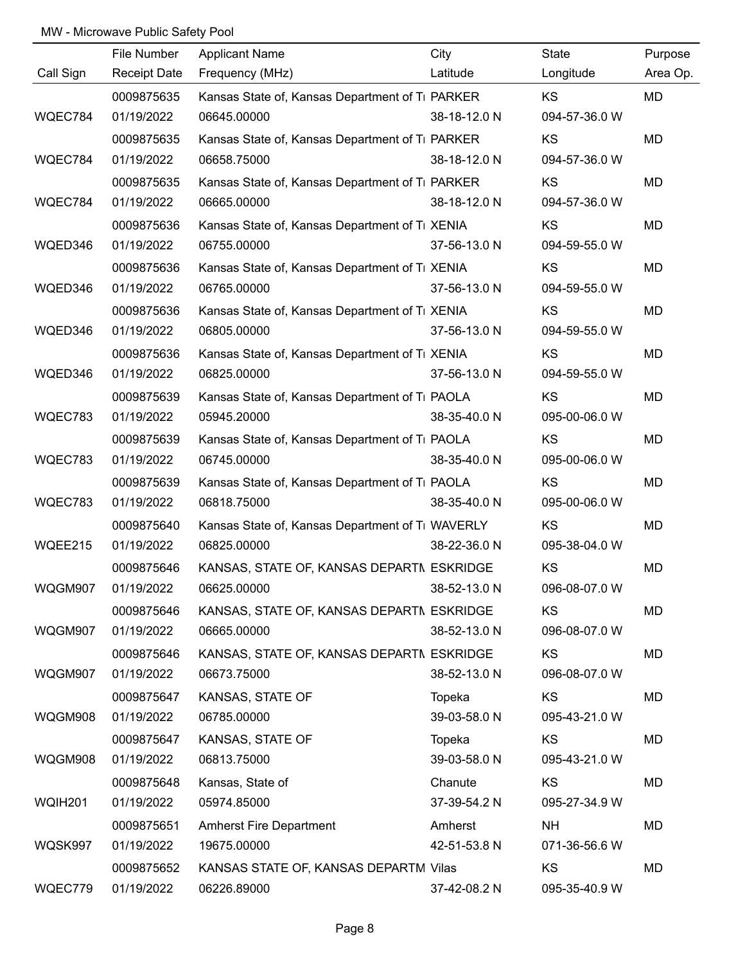|           | File Number         | <b>Applicant Name</b>                            | City         | State         | Purpose   |
|-----------|---------------------|--------------------------------------------------|--------------|---------------|-----------|
| Call Sign | <b>Receipt Date</b> | Frequency (MHz)                                  | Latitude     | Longitude     | Area Op.  |
|           | 0009875635          | Kansas State of, Kansas Department of Ti PARKER  |              | KS            | <b>MD</b> |
| WQEC784   | 01/19/2022          | 06645.00000                                      | 38-18-12.0 N | 094-57-36.0 W |           |
|           | 0009875635          | Kansas State of, Kansas Department of Ti PARKER  |              | KS.           | <b>MD</b> |
| WQEC784   | 01/19/2022          | 06658.75000                                      | 38-18-12.0 N | 094-57-36.0 W |           |
|           | 0009875635          | Kansas State of, Kansas Department of Ti PARKER  |              | KS            | <b>MD</b> |
| WQEC784   | 01/19/2022          | 06665.00000                                      | 38-18-12.0 N | 094-57-36.0 W |           |
|           | 0009875636          | Kansas State of, Kansas Department of Ti XENIA   |              | KS            | <b>MD</b> |
| WQED346   | 01/19/2022          | 06755.00000                                      | 37-56-13.0 N | 094-59-55.0 W |           |
|           | 0009875636          | Kansas State of, Kansas Department of Ti XENIA   |              | KS            | <b>MD</b> |
| WQED346   | 01/19/2022          | 06765.00000                                      | 37-56-13.0 N | 094-59-55.0 W |           |
|           | 0009875636          | Kansas State of, Kansas Department of Ti XENIA   |              | KS            | <b>MD</b> |
| WQED346   | 01/19/2022          | 06805.00000                                      | 37-56-13.0 N | 094-59-55.0 W |           |
|           | 0009875636          | Kansas State of, Kansas Department of Ti XENIA   |              | KS            | <b>MD</b> |
| WQED346   | 01/19/2022          | 06825.00000                                      | 37-56-13.0 N | 094-59-55.0 W |           |
|           | 0009875639          | Kansas State of, Kansas Department of Ti PAOLA   |              | KS            | MD        |
| WQEC783   | 01/19/2022          | 05945.20000                                      | 38-35-40.0 N | 095-00-06.0 W |           |
|           | 0009875639          | Kansas State of, Kansas Department of Ti PAOLA   |              | <b>KS</b>     | <b>MD</b> |
| WQEC783   | 01/19/2022          | 06745.00000                                      | 38-35-40.0 N | 095-00-06.0 W |           |
|           | 0009875639          | Kansas State of, Kansas Department of Ti PAOLA   |              | <b>KS</b>     | <b>MD</b> |
| WQEC783   | 01/19/2022          | 06818.75000                                      | 38-35-40.0 N | 095-00-06.0 W |           |
|           | 0009875640          | Kansas State of, Kansas Department of Ti WAVERLY |              | <b>KS</b>     | <b>MD</b> |
| WQEE215   | 01/19/2022          | 06825.00000                                      | 38-22-36.0 N | 095-38-04.0 W |           |
|           | 0009875646          | KANSAS, STATE OF, KANSAS DEPARTN ESKRIDGE        |              | KS            | <b>MD</b> |
| WQGM907   | 01/19/2022          | 06625.00000                                      | 38-52-13.0 N | 096-08-07.0 W |           |
|           | 0009875646          | KANSAS, STATE OF, KANSAS DEPARTN ESKRIDGE        |              | KS            | <b>MD</b> |
| WQGM907   | 01/19/2022          | 06665.00000                                      | 38-52-13.0 N | 096-08-07.0 W |           |
|           | 0009875646          | KANSAS, STATE OF, KANSAS DEPARTN ESKRIDGE        |              | KS            | MD        |
| WQGM907   | 01/19/2022          | 06673.75000                                      | 38-52-13.0 N | 096-08-07.0 W |           |
|           | 0009875647          | KANSAS, STATE OF                                 | Topeka       | KS            | <b>MD</b> |
| WQGM908   | 01/19/2022          | 06785.00000                                      | 39-03-58.0 N | 095-43-21.0 W |           |
|           | 0009875647          | KANSAS, STATE OF                                 | Topeka       | KS            | MD        |
| WQGM908   | 01/19/2022          | 06813.75000                                      | 39-03-58.0 N | 095-43-21.0 W |           |
|           | 0009875648          | Kansas, State of                                 | Chanute      | KS            | MD        |
| WQIH201   | 01/19/2022          | 05974.85000                                      | 37-39-54.2 N | 095-27-34.9 W |           |
|           | 0009875651          | <b>Amherst Fire Department</b>                   | Amherst      | <b>NH</b>     | MD        |
| WQSK997   | 01/19/2022          | 19675.00000                                      | 42-51-53.8 N | 071-36-56.6 W |           |
|           | 0009875652          | KANSAS STATE OF, KANSAS DEPARTM Vilas            |              | <b>KS</b>     | MD        |
| WQEC779   | 01/19/2022          | 06226.89000                                      | 37-42-08.2 N | 095-35-40.9 W |           |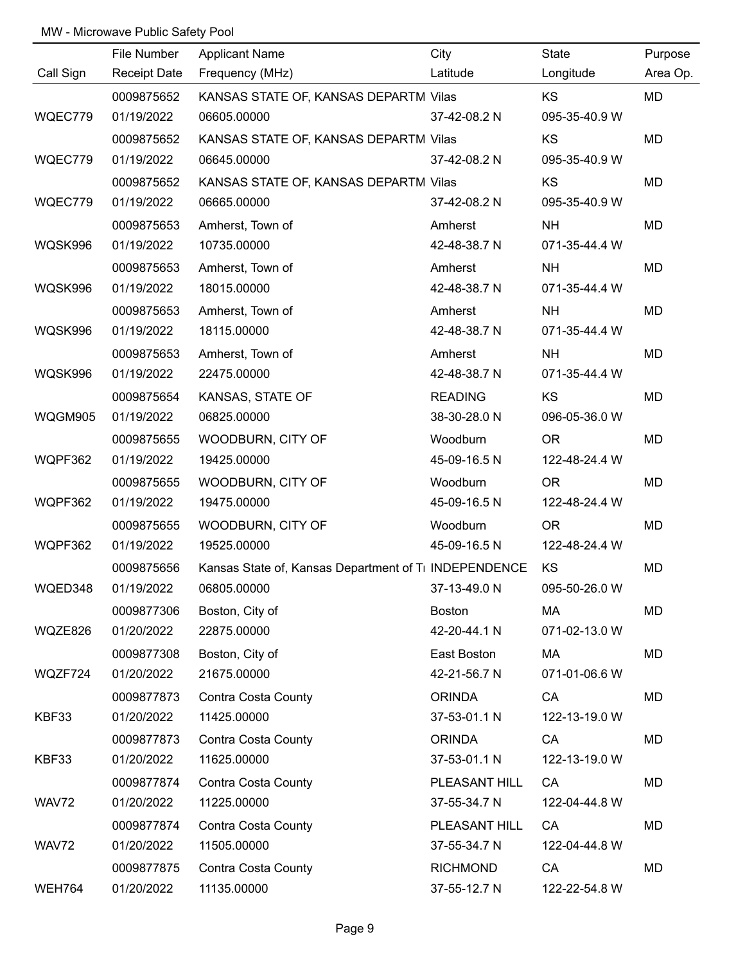|               | File Number         | <b>Applicant Name</b>                                 | City            | State         | Purpose  |
|---------------|---------------------|-------------------------------------------------------|-----------------|---------------|----------|
| Call Sign     | <b>Receipt Date</b> | Frequency (MHz)                                       | Latitude        | Longitude     | Area Op. |
|               | 0009875652          | KANSAS STATE OF, KANSAS DEPARTM Vilas                 |                 | KS            | MD       |
| WQEC779       | 01/19/2022          | 06605.00000                                           | 37-42-08.2 N    | 095-35-40.9 W |          |
|               | 0009875652          | KANSAS STATE OF, KANSAS DEPARTM Vilas                 |                 | KS            | MD       |
| WQEC779       | 01/19/2022          | 06645.00000                                           | 37-42-08.2 N    | 095-35-40.9 W |          |
|               | 0009875652          | KANSAS STATE OF, KANSAS DEPARTM Vilas                 |                 | KS            | MD       |
| WQEC779       | 01/19/2022          | 06665.00000                                           | 37-42-08.2 N    | 095-35-40.9 W |          |
|               | 0009875653          | Amherst, Town of                                      | Amherst         | <b>NH</b>     | MD       |
| WQSK996       | 01/19/2022          | 10735.00000                                           | 42-48-38.7 N    | 071-35-44.4 W |          |
|               | 0009875653          | Amherst, Town of                                      | Amherst         | <b>NH</b>     | MD       |
| WQSK996       | 01/19/2022          | 18015.00000                                           | 42-48-38.7 N    | 071-35-44.4 W |          |
|               | 0009875653          | Amherst, Town of                                      | Amherst         | <b>NH</b>     | MD       |
| WQSK996       | 01/19/2022          | 18115.00000                                           | 42-48-38.7 N    | 071-35-44.4 W |          |
|               | 0009875653          | Amherst, Town of                                      | Amherst         | <b>NH</b>     | MD       |
| WQSK996       | 01/19/2022          | 22475.00000                                           | 42-48-38.7 N    | 071-35-44.4 W |          |
|               | 0009875654          | KANSAS, STATE OF                                      | <b>READING</b>  | KS            | MD       |
| WQGM905       | 01/19/2022          | 06825.00000                                           | 38-30-28.0 N    | 096-05-36.0 W |          |
|               | 0009875655          | WOODBURN, CITY OF                                     | Woodburn        | <b>OR</b>     | MD       |
| WQPF362       | 01/19/2022          | 19425.00000                                           | 45-09-16.5 N    | 122-48-24.4 W |          |
|               | 0009875655          | WOODBURN, CITY OF                                     | Woodburn        | <b>OR</b>     | MD       |
| WQPF362       | 01/19/2022          | 19475.00000                                           | 45-09-16.5 N    | 122-48-24.4 W |          |
|               | 0009875655          | WOODBURN, CITY OF                                     | Woodburn        | <b>OR</b>     | MD       |
| WQPF362       | 01/19/2022          | 19525.00000                                           | 45-09-16.5 N    | 122-48-24.4 W |          |
|               | 0009875656          | Kansas State of, Kansas Department of Ti INDEPENDENCE |                 | KS            | MD       |
| WQED348       | 01/19/2022          | 06805.00000                                           | 37-13-49.0 N    | 095-50-26.0 W |          |
|               | 0009877306          | Boston, City of                                       | <b>Boston</b>   | MA            | MD       |
| WQZE826       | 01/20/2022          | 22875.00000                                           | 42-20-44.1 N    | 071-02-13.0 W |          |
|               | 0009877308          | Boston, City of                                       | East Boston     | MA            | MD       |
| WQZF724       | 01/20/2022          | 21675.00000                                           | 42-21-56.7 N    | 071-01-06.6 W |          |
|               | 0009877873          | Contra Costa County                                   | <b>ORINDA</b>   | CA            | MD       |
| KBF33         | 01/20/2022          | 11425.00000                                           | 37-53-01.1 N    | 122-13-19.0 W |          |
|               | 0009877873          | Contra Costa County                                   | <b>ORINDA</b>   | CA            | MD       |
| KBF33         | 01/20/2022          | 11625.00000                                           | 37-53-01.1 N    | 122-13-19.0 W |          |
|               | 0009877874          | Contra Costa County                                   | PLEASANT HILL   | CA            | MD       |
| WAV72         | 01/20/2022          | 11225.00000                                           | 37-55-34.7 N    | 122-04-44.8 W |          |
|               | 0009877874          | Contra Costa County                                   | PLEASANT HILL   | CA            | MD       |
| WAV72         | 01/20/2022          | 11505.00000                                           | 37-55-34.7 N    | 122-04-44.8 W |          |
|               | 0009877875          | Contra Costa County                                   | <b>RICHMOND</b> | CA            | MD       |
| <b>WEH764</b> | 01/20/2022          | 11135.00000                                           | 37-55-12.7 N    | 122-22-54.8 W |          |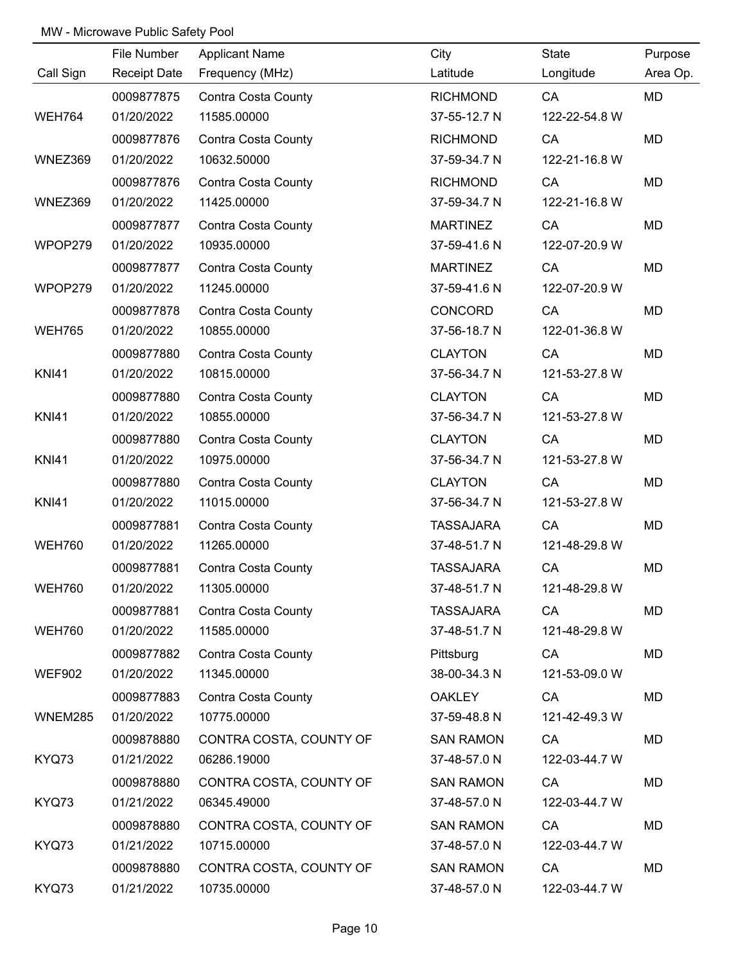|               | File Number         | <b>Applicant Name</b>      | City             | State         | Purpose  |
|---------------|---------------------|----------------------------|------------------|---------------|----------|
| Call Sign     | <b>Receipt Date</b> | Frequency (MHz)            | Latitude         | Longitude     | Area Op. |
|               | 0009877875          | <b>Contra Costa County</b> | <b>RICHMOND</b>  | CA            | MD       |
| <b>WEH764</b> | 01/20/2022          | 11585.00000                | 37-55-12.7 N     | 122-22-54.8 W |          |
|               | 0009877876          | Contra Costa County        | <b>RICHMOND</b>  | CA            | MD       |
| WNEZ369       | 01/20/2022          | 10632.50000                | 37-59-34.7 N     | 122-21-16.8 W |          |
|               | 0009877876          | Contra Costa County        | <b>RICHMOND</b>  | CA            | MD       |
| WNEZ369       | 01/20/2022          | 11425.00000                | 37-59-34.7 N     | 122-21-16.8 W |          |
|               | 0009877877          | Contra Costa County        | <b>MARTINEZ</b>  | CA            | MD       |
| WPOP279       | 01/20/2022          | 10935.00000                | 37-59-41.6 N     | 122-07-20.9 W |          |
|               | 0009877877          | Contra Costa County        | <b>MARTINEZ</b>  | CA            | MD       |
| WPOP279       | 01/20/2022          | 11245.00000                | 37-59-41.6 N     | 122-07-20.9 W |          |
|               | 0009877878          | Contra Costa County        | <b>CONCORD</b>   | CA            | MD       |
| <b>WEH765</b> | 01/20/2022          | 10855.00000                | 37-56-18.7 N     | 122-01-36.8 W |          |
|               | 0009877880          | <b>Contra Costa County</b> | <b>CLAYTON</b>   | CA            | MD       |
| <b>KNI41</b>  | 01/20/2022          | 10815.00000                | 37-56-34.7 N     | 121-53-27.8 W |          |
|               | 0009877880          | <b>Contra Costa County</b> | <b>CLAYTON</b>   | CA            | MD       |
| <b>KNI41</b>  | 01/20/2022          | 10855.00000                | 37-56-34.7 N     | 121-53-27.8 W |          |
|               | 0009877880          | <b>Contra Costa County</b> | <b>CLAYTON</b>   | CA            | MD       |
| <b>KNI41</b>  | 01/20/2022          | 10975.00000                | 37-56-34.7 N     | 121-53-27.8 W |          |
|               | 0009877880          | <b>Contra Costa County</b> | <b>CLAYTON</b>   | CA            | MD       |
| <b>KNI41</b>  | 01/20/2022          | 11015.00000                | 37-56-34.7 N     | 121-53-27.8 W |          |
|               | 0009877881          | Contra Costa County        | <b>TASSAJARA</b> | CA            | MD       |
| <b>WEH760</b> | 01/20/2022          | 11265.00000                | 37-48-51.7 N     | 121-48-29.8 W |          |
|               | 0009877881          | Contra Costa County        | <b>TASSAJARA</b> | CA            | MD       |
| <b>WEH760</b> | 01/20/2022          | 11305.00000                | 37-48-51.7 N     | 121-48-29.8 W |          |
|               | 0009877881          | Contra Costa County        | <b>TASSAJARA</b> | CA            | MD       |
| <b>WEH760</b> | 01/20/2022          | 11585.00000                | 37-48-51.7 N     | 121-48-29.8 W |          |
|               | 0009877882          | Contra Costa County        | Pittsburg        | CA            | MD       |
| <b>WEF902</b> | 01/20/2022          | 11345.00000                | 38-00-34.3 N     | 121-53-09.0 W |          |
|               | 0009877883          | Contra Costa County        | <b>OAKLEY</b>    | CA            | MD       |
| WNEM285       | 01/20/2022          | 10775.00000                | 37-59-48.8 N     | 121-42-49.3 W |          |
|               | 0009878880          | CONTRA COSTA, COUNTY OF    | <b>SAN RAMON</b> | CA            | MD       |
| KYQ73         | 01/21/2022          | 06286.19000                | 37-48-57.0 N     | 122-03-44.7 W |          |
|               | 0009878880          | CONTRA COSTA, COUNTY OF    | <b>SAN RAMON</b> | CA            | MD       |
| KYQ73         | 01/21/2022          | 06345.49000                | 37-48-57.0 N     | 122-03-44.7 W |          |
|               | 0009878880          | CONTRA COSTA, COUNTY OF    | <b>SAN RAMON</b> | CA            | MD       |
| KYQ73         | 01/21/2022          | 10715.00000                | 37-48-57.0 N     | 122-03-44.7 W |          |
|               | 0009878880          | CONTRA COSTA, COUNTY OF    | <b>SAN RAMON</b> | CA            | MD       |
| KYQ73         | 01/21/2022          | 10735.00000                | 37-48-57.0 N     | 122-03-44.7 W |          |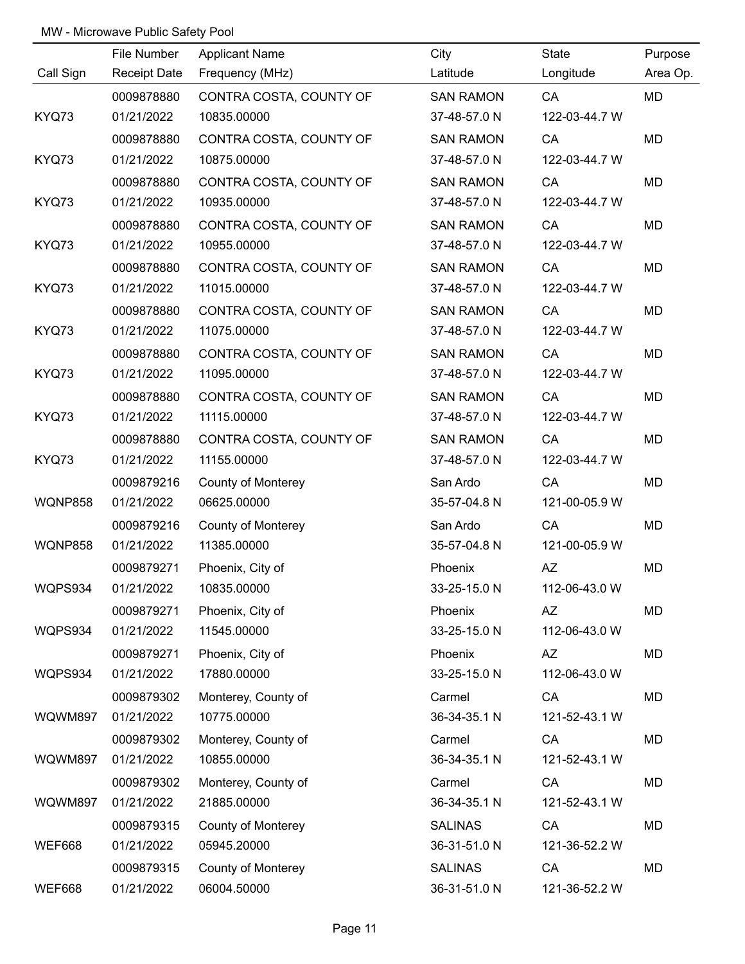|                | File Number         | <b>Applicant Name</b>     | City             | State         | Purpose   |
|----------------|---------------------|---------------------------|------------------|---------------|-----------|
| Call Sign      | <b>Receipt Date</b> | Frequency (MHz)           | Latitude         | Longitude     | Area Op.  |
|                | 0009878880          | CONTRA COSTA, COUNTY OF   | <b>SAN RAMON</b> | CA            | <b>MD</b> |
| KYQ73          | 01/21/2022          | 10835.00000               | 37-48-57.0 N     | 122-03-44.7 W |           |
|                | 0009878880          | CONTRA COSTA, COUNTY OF   | <b>SAN RAMON</b> | CA            | <b>MD</b> |
| KYQ73          | 01/21/2022          | 10875.00000               | 37-48-57.0 N     | 122-03-44.7 W |           |
|                | 0009878880          | CONTRA COSTA, COUNTY OF   | <b>SAN RAMON</b> | CA            | MD        |
| KYQ73          | 01/21/2022          | 10935.00000               | 37-48-57.0 N     | 122-03-44.7 W |           |
|                | 0009878880          | CONTRA COSTA, COUNTY OF   | <b>SAN RAMON</b> | CA            | MD        |
| KYQ73          | 01/21/2022          | 10955.00000               | 37-48-57.0 N     | 122-03-44.7 W |           |
|                | 0009878880          | CONTRA COSTA, COUNTY OF   | <b>SAN RAMON</b> | CA            | MD        |
| KYQ73          | 01/21/2022          | 11015.00000               | 37-48-57.0 N     | 122-03-44.7 W |           |
|                | 0009878880          | CONTRA COSTA, COUNTY OF   | <b>SAN RAMON</b> | CA            | MD        |
| KYQ73          | 01/21/2022          | 11075.00000               | 37-48-57.0 N     | 122-03-44.7 W |           |
|                | 0009878880          | CONTRA COSTA, COUNTY OF   | <b>SAN RAMON</b> | CA            | MD        |
| KYQ73          | 01/21/2022          | 11095.00000               | 37-48-57.0 N     | 122-03-44.7 W |           |
|                | 0009878880          | CONTRA COSTA, COUNTY OF   | <b>SAN RAMON</b> | CA            | MD        |
| KYQ73          | 01/21/2022          | 11115.00000               | 37-48-57.0 N     | 122-03-44.7 W |           |
|                | 0009878880          | CONTRA COSTA, COUNTY OF   | <b>SAN RAMON</b> | CA            | MD        |
| KYQ73          | 01/21/2022          | 11155.00000               | 37-48-57.0 N     | 122-03-44.7 W |           |
|                | 0009879216          | <b>County of Monterey</b> | San Ardo         | CA            | MD        |
| <b>WQNP858</b> | 01/21/2022          | 06625.00000               | 35-57-04.8 N     | 121-00-05.9 W |           |
|                | 0009879216          | <b>County of Monterey</b> | San Ardo         | CA            | MD        |
| <b>WQNP858</b> | 01/21/2022          | 11385.00000               | 35-57-04.8 N     | 121-00-05.9 W |           |
|                | 0009879271          | Phoenix, City of          | Phoenix          | AZ            | MD        |
| WQPS934        | 01/21/2022          | 10835.00000               | 33-25-15.0 N     | 112-06-43.0 W |           |
|                | 0009879271          | Phoenix, City of          | Phoenix          | AZ            | MD        |
| WQPS934        | 01/21/2022          | 11545.00000               | 33-25-15.0 N     | 112-06-43.0 W |           |
|                | 0009879271          | Phoenix, City of          | Phoenix          | AZ            | MD        |
| WQPS934        | 01/21/2022          | 17880.00000               | 33-25-15.0 N     | 112-06-43.0 W |           |
|                | 0009879302          | Monterey, County of       | Carmel           | CA            | MD        |
| WQWM897        | 01/21/2022          | 10775.00000               | 36-34-35.1 N     | 121-52-43.1 W |           |
|                | 0009879302          | Monterey, County of       | Carmel           | CA            | MD        |
| WQWM897        | 01/21/2022          | 10855.00000               | 36-34-35.1 N     | 121-52-43.1 W |           |
|                | 0009879302          | Monterey, County of       | Carmel           | CA            | MD        |
| WQWM897        | 01/21/2022          | 21885.00000               | 36-34-35.1 N     | 121-52-43.1 W |           |
|                | 0009879315          | <b>County of Monterey</b> | <b>SALINAS</b>   | CA            | MD        |
| <b>WEF668</b>  | 01/21/2022          | 05945.20000               | 36-31-51.0 N     | 121-36-52.2 W |           |
|                | 0009879315          | <b>County of Monterey</b> | <b>SALINAS</b>   | CA            | MD        |
| <b>WEF668</b>  | 01/21/2022          | 06004.50000               | 36-31-51.0 N     | 121-36-52.2 W |           |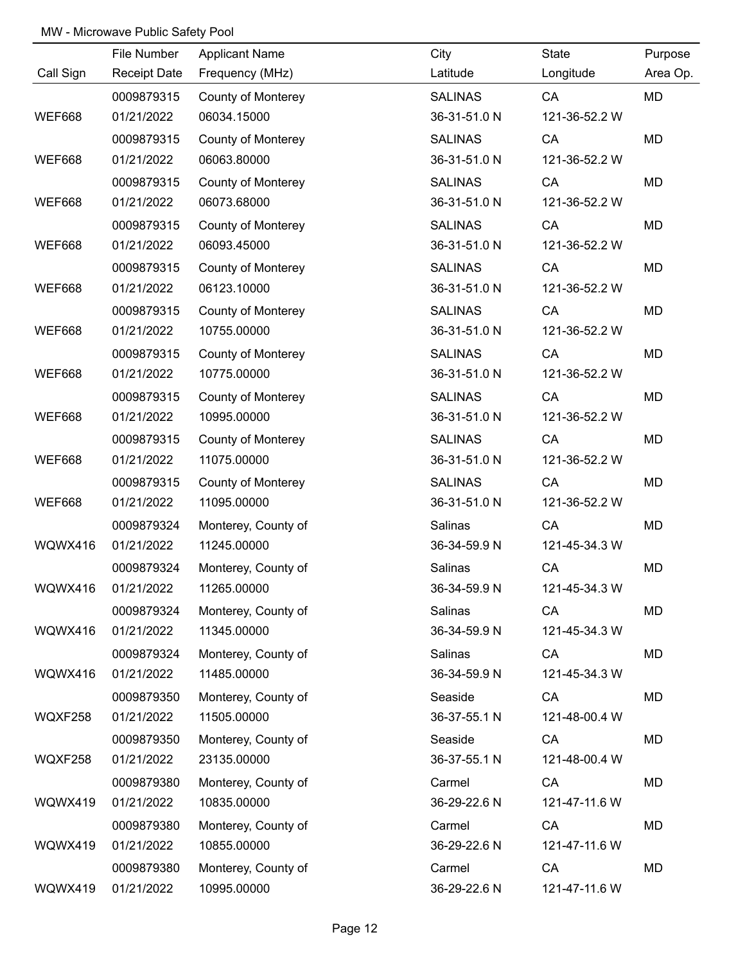|               | File Number         | <b>Applicant Name</b>     | City           | State         | Purpose  |
|---------------|---------------------|---------------------------|----------------|---------------|----------|
| Call Sign     | <b>Receipt Date</b> | Frequency (MHz)           | Latitude       | Longitude     | Area Op. |
|               | 0009879315          | <b>County of Monterey</b> | <b>SALINAS</b> | CA            | MD       |
| <b>WEF668</b> | 01/21/2022          | 06034.15000               | 36-31-51.0 N   | 121-36-52.2 W |          |
|               | 0009879315          | <b>County of Monterey</b> | <b>SALINAS</b> | <b>CA</b>     | MD       |
| <b>WEF668</b> | 01/21/2022          | 06063.80000               | 36-31-51.0 N   | 121-36-52.2 W |          |
|               | 0009879315          | County of Monterey        | <b>SALINAS</b> | CA            | MD       |
| <b>WEF668</b> | 01/21/2022          | 06073.68000               | 36-31-51.0 N   | 121-36-52.2 W |          |
|               | 0009879315          | <b>County of Monterey</b> | <b>SALINAS</b> | CA            | MD       |
| <b>WEF668</b> | 01/21/2022          | 06093.45000               | 36-31-51.0 N   | 121-36-52.2 W |          |
|               | 0009879315          | <b>County of Monterey</b> | <b>SALINAS</b> | CA            | MD       |
| <b>WEF668</b> | 01/21/2022          | 06123.10000               | 36-31-51.0 N   | 121-36-52.2 W |          |
|               | 0009879315          | <b>County of Monterey</b> | <b>SALINAS</b> | <b>CA</b>     | MD       |
| <b>WEF668</b> | 01/21/2022          | 10755.00000               | 36-31-51.0 N   | 121-36-52.2 W |          |
|               | 0009879315          | <b>County of Monterey</b> | <b>SALINAS</b> | CA            | MD       |
| <b>WEF668</b> | 01/21/2022          | 10775.00000               | 36-31-51.0 N   | 121-36-52.2 W |          |
|               | 0009879315          | <b>County of Monterey</b> | <b>SALINAS</b> | CA            | MD       |
| <b>WEF668</b> | 01/21/2022          | 10995.00000               | 36-31-51.0 N   | 121-36-52.2 W |          |
|               | 0009879315          | <b>County of Monterey</b> | <b>SALINAS</b> | CA            | MD       |
| <b>WEF668</b> | 01/21/2022          | 11075.00000               | 36-31-51.0 N   | 121-36-52.2 W |          |
|               | 0009879315          | <b>County of Monterey</b> | <b>SALINAS</b> | CA            | MD       |
| <b>WEF668</b> | 01/21/2022          | 11095.00000               | 36-31-51.0 N   | 121-36-52.2 W |          |
|               | 0009879324          | Monterey, County of       | Salinas        | CA            | MD       |
| WQWX416       | 01/21/2022          | 11245.00000               | 36-34-59.9 N   | 121-45-34.3 W |          |
|               | 0009879324          | Monterey, County of       | Salinas        | CA            | MD       |
| WQWX416       | 01/21/2022          | 11265.00000               | 36-34-59.9 N   | 121-45-34.3 W |          |
|               | 0009879324          | Monterey, County of       | Salinas        | CA            | MD       |
| WQWX416       | 01/21/2022          | 11345.00000               | 36-34-59.9 N   | 121-45-34.3 W |          |
|               | 0009879324          | Monterey, County of       | Salinas        | CA            | MD       |
| WQWX416       | 01/21/2022          | 11485.00000               | 36-34-59.9 N   | 121-45-34.3 W |          |
|               | 0009879350          | Monterey, County of       | Seaside        | CA            | MD       |
| WQXF258       | 01/21/2022          | 11505.00000               | 36-37-55.1 N   | 121-48-00.4 W |          |
|               | 0009879350          | Monterey, County of       | Seaside        | CA            | MD       |
| WQXF258       | 01/21/2022          | 23135.00000               | 36-37-55.1 N   | 121-48-00.4 W |          |
|               | 0009879380          | Monterey, County of       | Carmel         | CA            | MD       |
| WQWX419       | 01/21/2022          | 10835.00000               | 36-29-22.6 N   | 121-47-11.6 W |          |
|               | 0009879380          | Monterey, County of       | Carmel         | CA            | MD       |
| WQWX419       | 01/21/2022          | 10855.00000               | 36-29-22.6 N   | 121-47-11.6 W |          |
|               | 0009879380          | Monterey, County of       | Carmel         | CA            | MD       |
| WQWX419       | 01/21/2022          | 10995.00000               | 36-29-22.6 N   | 121-47-11.6 W |          |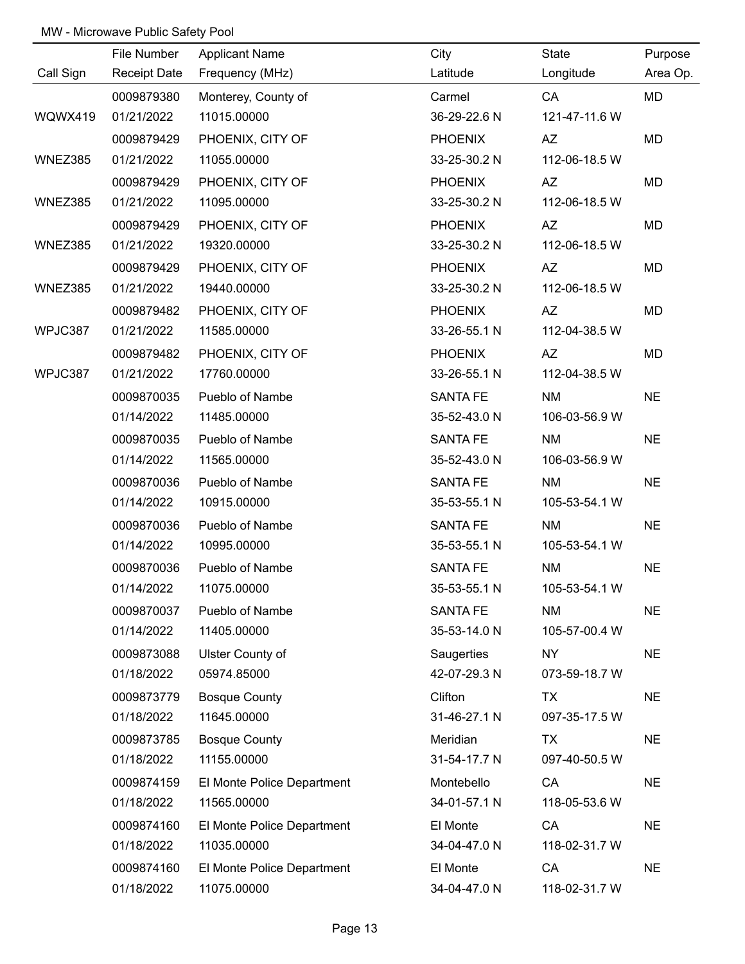|           | File Number         | <b>Applicant Name</b>      | City            | State         | Purpose   |
|-----------|---------------------|----------------------------|-----------------|---------------|-----------|
| Call Sign | <b>Receipt Date</b> | Frequency (MHz)            | Latitude        | Longitude     | Area Op.  |
|           | 0009879380          | Monterey, County of        | Carmel          | CA            | MD        |
| WQWX419   | 01/21/2022          | 11015.00000                | 36-29-22.6 N    | 121-47-11.6 W |           |
|           | 0009879429          | PHOENIX, CITY OF           | <b>PHOENIX</b>  | <b>AZ</b>     | MD        |
| WNEZ385   | 01/21/2022          | 11055.00000                | 33-25-30.2 N    | 112-06-18.5 W |           |
|           | 0009879429          | PHOENIX, CITY OF           | <b>PHOENIX</b>  | AZ            | MD        |
| WNEZ385   | 01/21/2022          | 11095.00000                | 33-25-30.2 N    | 112-06-18.5 W |           |
|           | 0009879429          | PHOENIX, CITY OF           | <b>PHOENIX</b>  | AZ            | MD        |
| WNEZ385   | 01/21/2022          | 19320.00000                | 33-25-30.2 N    | 112-06-18.5 W |           |
|           | 0009879429          | PHOENIX, CITY OF           | <b>PHOENIX</b>  | <b>AZ</b>     | MD        |
| WNEZ385   | 01/21/2022          | 19440.00000                | 33-25-30.2 N    | 112-06-18.5 W |           |
|           | 0009879482          | PHOENIX, CITY OF           | <b>PHOENIX</b>  | AZ            | MD        |
| WPJC387   | 01/21/2022          | 11585.00000                | 33-26-55.1 N    | 112-04-38.5 W |           |
|           | 0009879482          | PHOENIX, CITY OF           | <b>PHOENIX</b>  | AZ            | MD        |
| WPJC387   | 01/21/2022          | 17760.00000                | 33-26-55.1 N    | 112-04-38.5 W |           |
|           | 0009870035          | Pueblo of Nambe            | <b>SANTA FE</b> | <b>NM</b>     | <b>NE</b> |
|           | 01/14/2022          | 11485.00000                | 35-52-43.0 N    | 106-03-56.9 W |           |
|           | 0009870035          | Pueblo of Nambe            | <b>SANTA FE</b> | <b>NM</b>     | <b>NE</b> |
|           | 01/14/2022          | 11565.00000                | 35-52-43.0 N    | 106-03-56.9 W |           |
|           | 0009870036          | Pueblo of Nambe            | <b>SANTA FE</b> | <b>NM</b>     | <b>NE</b> |
|           | 01/14/2022          | 10915.00000                | 35-53-55.1 N    | 105-53-54.1 W |           |
|           | 0009870036          | Pueblo of Nambe            | <b>SANTA FE</b> | <b>NM</b>     | <b>NE</b> |
|           | 01/14/2022          | 10995.00000                | 35-53-55.1 N    | 105-53-54.1 W |           |
|           | 0009870036          | Pueblo of Nambe            | <b>SANTA FE</b> | <b>NM</b>     | <b>NE</b> |
|           | 01/14/2022          | 11075.00000                | 35-53-55.1 N    | 105-53-54.1 W |           |
|           | 0009870037          | Pueblo of Nambe            | <b>SANTA FE</b> | <b>NM</b>     | <b>NE</b> |
|           | 01/14/2022          | 11405.00000                | 35-53-14.0 N    | 105-57-00.4 W |           |
|           | 0009873088          | Ulster County of           | Saugerties      | NY            | <b>NE</b> |
|           | 01/18/2022          | 05974.85000                | 42-07-29.3 N    | 073-59-18.7 W |           |
|           | 0009873779          | <b>Bosque County</b>       | Clifton         | TX            | <b>NE</b> |
|           | 01/18/2022          | 11645.00000                | 31-46-27.1 N    | 097-35-17.5 W |           |
|           | 0009873785          | <b>Bosque County</b>       | Meridian        | TX            | <b>NE</b> |
|           | 01/18/2022          | 11155.00000                | 31-54-17.7 N    | 097-40-50.5 W |           |
|           | 0009874159          | El Monte Police Department | Montebello      | CA            | <b>NE</b> |
|           | 01/18/2022          | 11565.00000                | 34-01-57.1 N    | 118-05-53.6 W |           |
|           | 0009874160          | El Monte Police Department | El Monte        | CA            | <b>NE</b> |
|           | 01/18/2022          | 11035.00000                | 34-04-47.0 N    | 118-02-31.7 W |           |
|           | 0009874160          | El Monte Police Department | El Monte        | CA            | <b>NE</b> |
|           | 01/18/2022          | 11075.00000                | 34-04-47.0 N    | 118-02-31.7 W |           |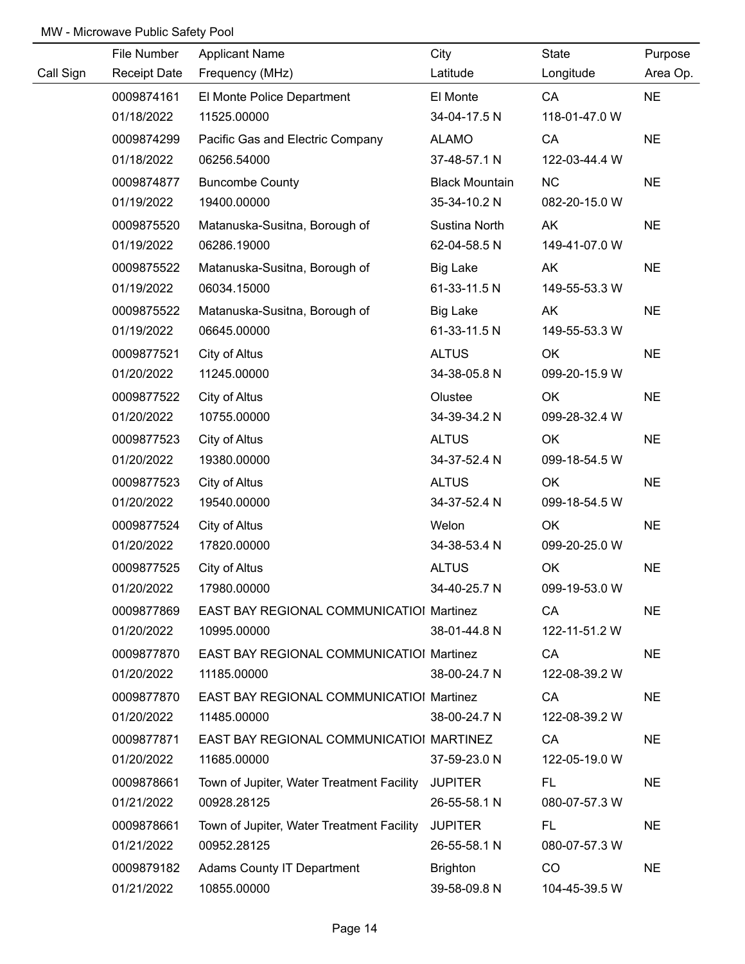|           | File Number         | <b>Applicant Name</b>                             | City                  | State         | Purpose   |
|-----------|---------------------|---------------------------------------------------|-----------------------|---------------|-----------|
| Call Sign | <b>Receipt Date</b> | Frequency (MHz)                                   | Latitude              | Longitude     | Area Op.  |
|           | 0009874161          | El Monte Police Department                        | El Monte              | CA            | <b>NE</b> |
|           | 01/18/2022          | 11525.00000                                       | 34-04-17.5 N          | 118-01-47.0 W |           |
|           | 0009874299          | Pacific Gas and Electric Company                  | <b>ALAMO</b>          | CA            | <b>NE</b> |
|           | 01/18/2022          | 06256.54000                                       | 37-48-57.1 N          | 122-03-44.4 W |           |
|           | 0009874877          | <b>Buncombe County</b>                            | <b>Black Mountain</b> | <b>NC</b>     | <b>NE</b> |
|           | 01/19/2022          | 19400.00000                                       | 35-34-10.2 N          | 082-20-15.0 W |           |
|           | 0009875520          | Matanuska-Susitna, Borough of                     | Sustina North         | AK            | <b>NE</b> |
|           | 01/19/2022          | 06286.19000                                       | 62-04-58.5 N          | 149-41-07.0 W |           |
|           | 0009875522          | Matanuska-Susitna, Borough of                     | Big Lake              | AK            | <b>NE</b> |
|           | 01/19/2022          | 06034.15000                                       | 61-33-11.5 N          | 149-55-53.3 W |           |
|           | 0009875522          | Matanuska-Susitna, Borough of                     | <b>Big Lake</b>       | AK            | <b>NE</b> |
|           | 01/19/2022          | 06645.00000                                       | 61-33-11.5 N          | 149-55-53.3 W |           |
|           | 0009877521          | City of Altus                                     | <b>ALTUS</b>          | OK            | <b>NE</b> |
|           | 01/20/2022          | 11245.00000                                       | 34-38-05.8 N          | 099-20-15.9 W |           |
|           | 0009877522          | City of Altus                                     | Olustee               | OK            | <b>NE</b> |
|           | 01/20/2022          | 10755.00000                                       | 34-39-34.2 N          | 099-28-32.4 W |           |
|           | 0009877523          | City of Altus                                     | <b>ALTUS</b>          | OK            | <b>NE</b> |
|           | 01/20/2022          | 19380.00000                                       | 34-37-52.4 N          | 099-18-54.5 W |           |
|           | 0009877523          | City of Altus                                     | <b>ALTUS</b>          | OK            | <b>NE</b> |
|           | 01/20/2022          | 19540.00000                                       | 34-37-52.4 N          | 099-18-54.5 W |           |
|           | 0009877524          | City of Altus                                     | Welon                 | OK            | <b>NE</b> |
|           | 01/20/2022          | 17820.00000                                       | 34-38-53.4 N          | 099-20-25.0 W |           |
|           | 0009877525          | City of Altus                                     | <b>ALTUS</b>          | OK            | <b>NE</b> |
|           | 01/20/2022          | 17980.00000                                       | 34-40-25.7 N          | 099-19-53.0 W |           |
|           | 0009877869          | EAST BAY REGIONAL COMMUNICATIOI Martinez          |                       | CA            | <b>NE</b> |
|           | 01/20/2022          | 10995.00000                                       | 38-01-44.8 N          | 122-11-51.2 W |           |
|           | 0009877870          | EAST BAY REGIONAL COMMUNICATIOI Martinez          |                       | CA            | <b>NE</b> |
|           | 01/20/2022          | 11185.00000                                       | 38-00-24.7 N          | 122-08-39.2 W |           |
|           | 0009877870          | EAST BAY REGIONAL COMMUNICATIOI Martinez          |                       | CA            | <b>NE</b> |
|           | 01/20/2022          | 11485.00000                                       | 38-00-24.7 N          | 122-08-39.2 W |           |
|           | 0009877871          | EAST BAY REGIONAL COMMUNICATIOI MARTINEZ          |                       | CA            | <b>NE</b> |
|           | 01/20/2022          | 11685.00000                                       | 37-59-23.0 N          | 122-05-19.0 W |           |
|           | 0009878661          | Town of Jupiter, Water Treatment Facility JUPITER |                       | FL.           | <b>NE</b> |
|           | 01/21/2022          | 00928.28125                                       | 26-55-58.1 N          | 080-07-57.3 W |           |
|           | 0009878661          | Town of Jupiter, Water Treatment Facility JUPITER |                       | FL.           | <b>NE</b> |
|           | 01/21/2022          | 00952.28125                                       | 26-55-58.1 N          | 080-07-57.3 W |           |
|           | 0009879182          | <b>Adams County IT Department</b>                 | <b>Brighton</b>       | CO            | <b>NE</b> |
|           | 01/21/2022          | 10855.00000                                       | 39-58-09.8 N          | 104-45-39.5 W |           |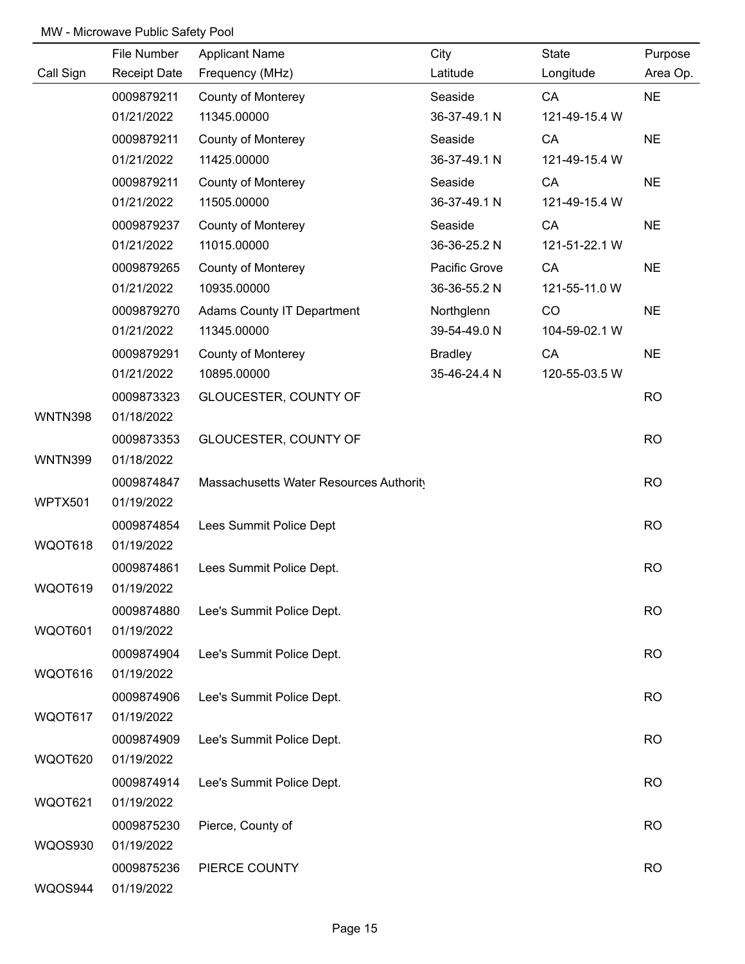|                | File Number         | <b>Applicant Name</b>                   | City           | State         | Purpose   |
|----------------|---------------------|-----------------------------------------|----------------|---------------|-----------|
| Call Sign      | <b>Receipt Date</b> | Frequency (MHz)                         | Latitude       | Longitude     | Area Op.  |
|                | 0009879211          | <b>County of Monterey</b>               | Seaside        | CA            | <b>NE</b> |
|                | 01/21/2022          | 11345.00000                             | 36-37-49.1 N   | 121-49-15.4 W |           |
|                | 0009879211          | <b>County of Monterey</b>               | Seaside        | CA            | <b>NE</b> |
|                | 01/21/2022          | 11425.00000                             | 36-37-49.1 N   | 121-49-15.4 W |           |
|                | 0009879211          | <b>County of Monterey</b>               | Seaside        | CA            | <b>NE</b> |
|                | 01/21/2022          | 11505.00000                             | 36-37-49.1 N   | 121-49-15.4 W |           |
|                | 0009879237          | <b>County of Monterey</b>               | Seaside        | CA            | <b>NE</b> |
|                | 01/21/2022          | 11015.00000                             | 36-36-25.2 N   | 121-51-22.1 W |           |
|                | 0009879265          | <b>County of Monterey</b>               | Pacific Grove  | CA            | <b>NE</b> |
|                | 01/21/2022          | 10935.00000                             | 36-36-55.2 N   | 121-55-11.0 W |           |
|                | 0009879270          | <b>Adams County IT Department</b>       | Northglenn     | CO            | <b>NE</b> |
|                | 01/21/2022          | 11345.00000                             | 39-54-49.0 N   | 104-59-02.1 W |           |
|                | 0009879291          | <b>County of Monterey</b>               | <b>Bradley</b> | CA            | <b>NE</b> |
|                | 01/21/2022          | 10895.00000                             | 35-46-24.4 N   | 120-55-03.5 W |           |
|                | 0009873323          | GLOUCESTER, COUNTY OF                   |                |               | <b>RO</b> |
| <b>WNTN398</b> | 01/18/2022          |                                         |                |               |           |
|                | 0009873353          | GLOUCESTER, COUNTY OF                   |                |               | <b>RO</b> |
| <b>WNTN399</b> | 01/18/2022          |                                         |                |               |           |
|                | 0009874847          | Massachusetts Water Resources Authority |                |               | <b>RO</b> |
| WPTX501        | 01/19/2022          |                                         |                |               |           |
|                | 0009874854          | Lees Summit Police Dept                 |                |               | <b>RO</b> |
| WQOT618        | 01/19/2022          |                                         |                |               |           |
|                | 0009874861          | Lees Summit Police Dept.                |                |               | <b>RO</b> |
| WQOT619        | 01/19/2022          |                                         |                |               |           |
|                | 0009874880          | Lee's Summit Police Dept.               |                |               | <b>RO</b> |
| WQOT601        | 01/19/2022          |                                         |                |               |           |
|                | 0009874904          | Lee's Summit Police Dept.               |                |               | <b>RO</b> |
| WQOT616        | 01/19/2022          |                                         |                |               |           |
|                | 0009874906          | Lee's Summit Police Dept.               |                |               | <b>RO</b> |
| WQOT617        | 01/19/2022          |                                         |                |               |           |
|                | 0009874909          | Lee's Summit Police Dept.               |                |               | <b>RO</b> |
| WQOT620        | 01/19/2022          |                                         |                |               |           |
|                | 0009874914          | Lee's Summit Police Dept.               |                |               | <b>RO</b> |
| WQOT621        | 01/19/2022          |                                         |                |               |           |
|                | 0009875230          | Pierce, County of                       |                |               | <b>RO</b> |
| <b>WQOS930</b> | 01/19/2022          |                                         |                |               |           |
|                | 0009875236          | PIERCE COUNTY                           |                |               | <b>RO</b> |
| WQOS944        | 01/19/2022          |                                         |                |               |           |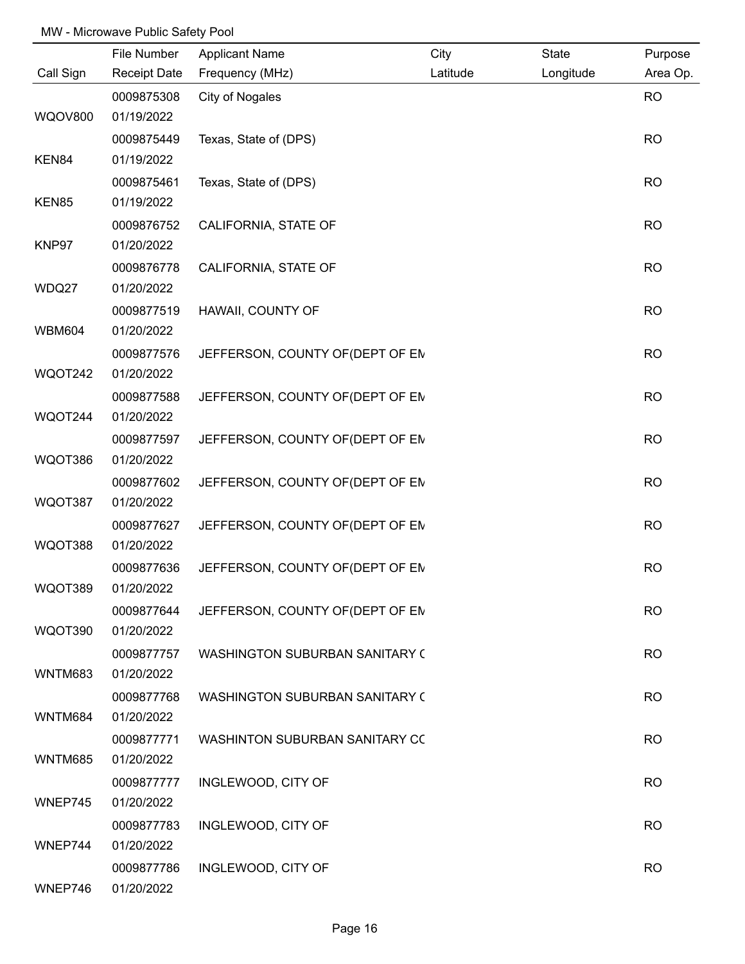|                | File Number              | <b>Applicant Name</b>                 | City     | State     | Purpose   |
|----------------|--------------------------|---------------------------------------|----------|-----------|-----------|
| Call Sign      | <b>Receipt Date</b>      | Frequency (MHz)                       | Latitude | Longitude | Area Op.  |
|                | 0009875308               | City of Nogales                       |          |           | <b>RO</b> |
| <b>WQOV800</b> | 01/19/2022               |                                       |          |           |           |
|                | 0009875449               | Texas, State of (DPS)                 |          |           | <b>RO</b> |
| KEN84          | 01/19/2022               |                                       |          |           |           |
|                | 0009875461               | Texas, State of (DPS)                 |          |           | <b>RO</b> |
| KEN85          | 01/19/2022               |                                       |          |           |           |
|                | 0009876752               | CALIFORNIA, STATE OF                  |          |           | <b>RO</b> |
| KNP97          | 01/20/2022               |                                       |          |           |           |
|                | 0009876778               | CALIFORNIA, STATE OF                  |          |           | <b>RO</b> |
| WDQ27          | 01/20/2022               |                                       |          |           |           |
|                | 0009877519               | HAWAII, COUNTY OF                     |          |           | <b>RO</b> |
| <b>WBM604</b>  | 01/20/2022               |                                       |          |           |           |
|                | 0009877576               | JEFFERSON, COUNTY OF (DEPT OF EN      |          |           | <b>RO</b> |
| WQOT242        | 01/20/2022               |                                       |          |           |           |
|                | 0009877588               | JEFFERSON, COUNTY OF (DEPT OF EM      |          |           | <b>RO</b> |
| WQOT244        | 01/20/2022               |                                       |          |           |           |
|                | 0009877597               | JEFFERSON, COUNTY OF (DEPT OF EM      |          |           | <b>RO</b> |
| WQOT386        | 01/20/2022               |                                       |          |           |           |
|                | 0009877602               | JEFFERSON, COUNTY OF (DEPT OF EM      |          |           | <b>RO</b> |
| WQOT387        | 01/20/2022               |                                       |          |           |           |
|                | 0009877627               | JEFFERSON, COUNTY OF (DEPT OF EM      |          |           | <b>RO</b> |
| WQOT388        | 01/20/2022               |                                       |          |           |           |
|                | 0009877636               | JEFFERSON, COUNTY OF (DEPT OF EM      |          |           | <b>RO</b> |
| WQOT389        | 01/20/2022               |                                       |          |           |           |
|                | 0009877644               | JEFFERSON, COUNTY OF (DEPT OF EN      |          |           | <b>RO</b> |
| WQOT390        | 01/20/2022               |                                       |          |           |           |
|                | 0009877757               | WASHINGTON SUBURBAN SANITARY (        |          |           | <b>RO</b> |
| WNTM683        | 01/20/2022               |                                       |          |           |           |
|                | 0009877768               | <b>WASHINGTON SUBURBAN SANITARY (</b> |          |           | <b>RO</b> |
| WNTM684        | 01/20/2022               |                                       |          |           |           |
| <b>WNTM685</b> | 0009877771<br>01/20/2022 | WASHINTON SUBURBAN SANITARY CO        |          |           | <b>RO</b> |
|                |                          |                                       |          |           |           |
| WNEP745        | 0009877777<br>01/20/2022 | INGLEWOOD, CITY OF                    |          |           | <b>RO</b> |
|                | 0009877783               | INGLEWOOD, CITY OF                    |          |           | <b>RO</b> |
| WNEP744        | 01/20/2022               |                                       |          |           |           |
|                | 0009877786               | INGLEWOOD, CITY OF                    |          |           | <b>RO</b> |
| WNEP746        | 01/20/2022               |                                       |          |           |           |